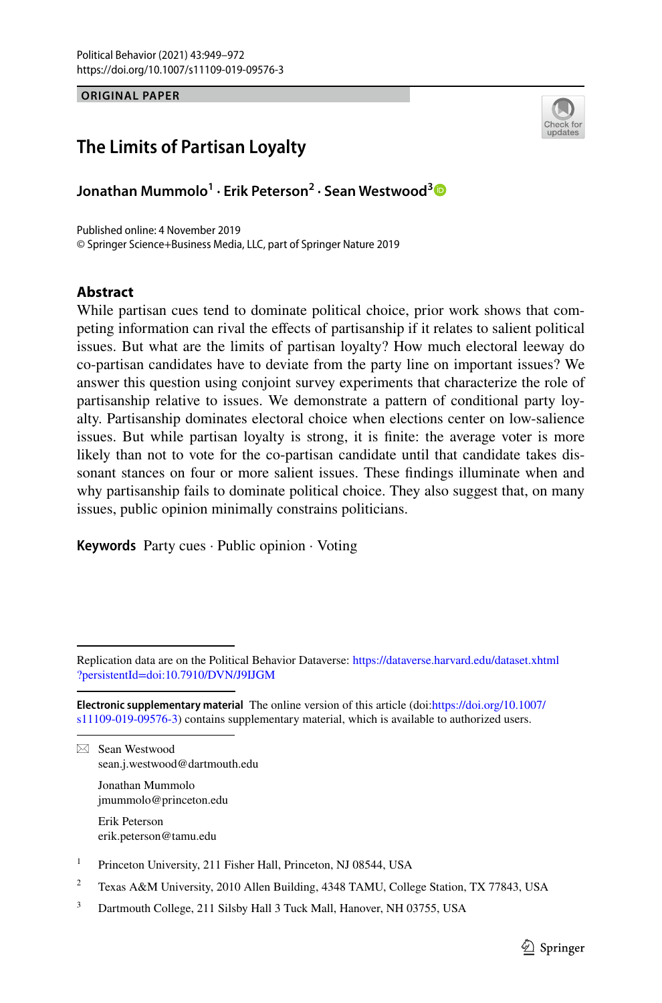**ORIGINAL PAPER**



## **The Limits of Partisan Loyalty**

**Jonathan Mummolo1 · Erik Peterson2 · Sean Westwood[3](http://orcid.org/0000-0002-2383-8047)**

Published online: 4 November 2019 © Springer Science+Business Media, LLC, part of Springer Nature 2019

#### **Abstract**

While partisan cues tend to dominate political choice, prior work shows that competing information can rival the efects of partisanship if it relates to salient political issues. But what are the limits of partisan loyalty? How much electoral leeway do co-partisan candidates have to deviate from the party line on important issues? We answer this question using conjoint survey experiments that characterize the role of partisanship relative to issues. We demonstrate a pattern of conditional party loyalty. Partisanship dominates electoral choice when elections center on low-salience issues. But while partisan loyalty is strong, it is fnite: the average voter is more likely than not to vote for the co-partisan candidate until that candidate takes dissonant stances on four or more salient issues. These fndings illuminate when and why partisanship fails to dominate political choice. They also suggest that, on many issues, public opinion minimally constrains politicians.

**Keywords** Party cues · Public opinion · Voting

 $\boxtimes$  Sean Westwood sean.j.westwood@dartmouth.edu

> Jonathan Mummolo jmummolo@princeton.edu

Erik Peterson erik.peterson@tamu.edu

<sup>1</sup> Princeton University, 211 Fisher Hall, Princeton, NJ 08544, USA

<sup>2</sup> Texas A&M University, 2010 Allen Building, 4348 TAMU, College Station, TX 77843, USA

Replication data are on the Political Behavior Dataverse: [https://dataverse.harvard.edu/dataset.xhtml](https://dataverse.harvard.edu/dataset.xhtml?persistentId=doi:10.7910/DVN/J9IJGM) [?persistentId=doi:10.7910/DVN/J9IJGM](https://dataverse.harvard.edu/dataset.xhtml?persistentId=doi:10.7910/DVN/J9IJGM)

**Electronic supplementary material** The online version of this article (doi:[https://doi.org/10.1007/](https://doi.org/10.1007/s11109-019-09576-3) [s11109-019-09576-3](https://doi.org/10.1007/s11109-019-09576-3)) contains supplementary material, which is available to authorized users.

<sup>&</sup>lt;sup>3</sup> Dartmouth College, 211 Silsby Hall 3 Tuck Mall, Hanover, NH 03755, USA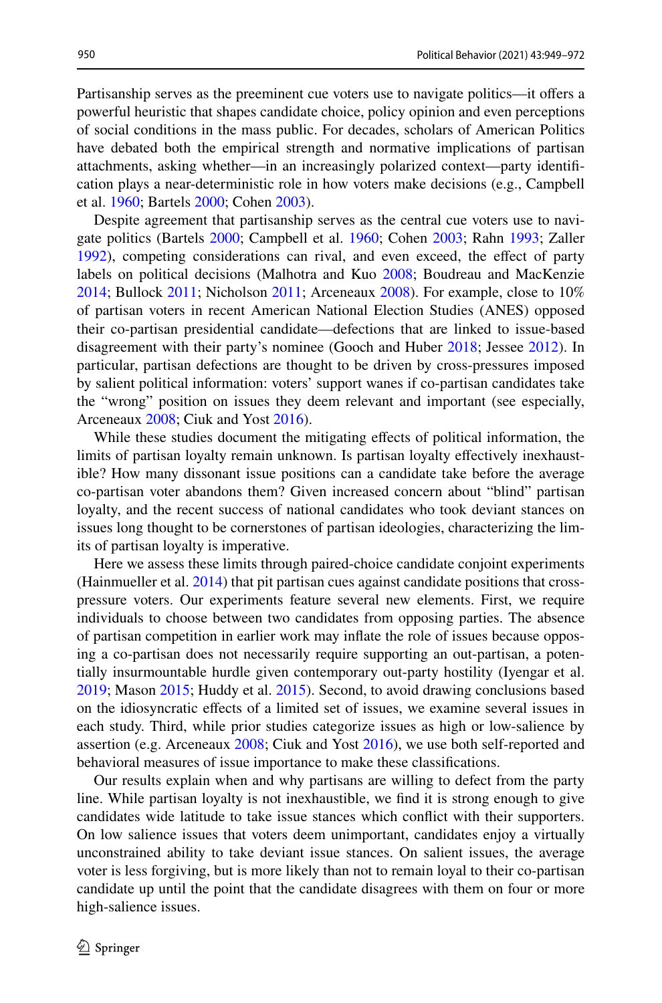Partisanship serves as the preeminent cue voters use to navigate politics—it ofers a powerful heuristic that shapes candidate choice, policy opinion and even perceptions of social conditions in the mass public. For decades, scholars of American Politics have debated both the empirical strength and normative implications of partisan attachments, asking whether—in an increasingly polarized context—party identifcation plays a near-deterministic role in how voters make decisions (e.g., Campbell et al. [1960;](#page-22-0) Bartels [2000](#page-21-0); Cohen [2003](#page-22-1)).

Despite agreement that partisanship serves as the central cue voters use to navigate politics (Bartels [2000](#page-21-0); Campbell et al. [1960;](#page-22-0) Cohen [2003](#page-22-1); Rahn [1993](#page-23-0); Zaller [1992](#page-23-1)), competing considerations can rival, and even exceed, the effect of party labels on political decisions (Malhotra and Kuo [2008](#page-23-2); Boudreau and MacKenzie [2014](#page-21-1); Bullock [2011](#page-22-2); Nicholson [2011;](#page-23-3) Arceneaux [2008](#page-21-2)). For example, close to 10% of partisan voters in recent American National Election Studies (ANES) opposed their co-partisan presidential candidate—defections that are linked to issue-based disagreement with their party's nominee (Gooch and Huber [2018](#page-22-3); Jessee [2012](#page-22-4)). In particular, partisan defections are thought to be driven by cross-pressures imposed by salient political information: voters' support wanes if co-partisan candidates take the "wrong" position on issues they deem relevant and important (see especially, Arceneaux [2008;](#page-21-2) Ciuk and Yost [2016\)](#page-22-5).

While these studies document the mitigating efects of political information, the limits of partisan loyalty remain unknown. Is partisan loyalty efectively inexhaustible? How many dissonant issue positions can a candidate take before the average co-partisan voter abandons them? Given increased concern about "blind" partisan loyalty, and the recent success of national candidates who took deviant stances on issues long thought to be cornerstones of partisan ideologies, characterizing the limits of partisan loyalty is imperative.

Here we assess these limits through paired-choice candidate conjoint experiments (Hainmueller et al. [2014\)](#page-22-6) that pit partisan cues against candidate positions that crosspressure voters. Our experiments feature several new elements. First, we require individuals to choose between two candidates from opposing parties. The absence of partisan competition in earlier work may infate the role of issues because opposing a co-partisan does not necessarily require supporting an out-partisan, a potentially insurmountable hurdle given contemporary out-party hostility (Iyengar et al. [2019](#page-22-7); Mason [2015](#page-23-4); Huddy et al. [2015](#page-22-8)). Second, to avoid drawing conclusions based on the idiosyncratic efects of a limited set of issues, we examine several issues in each study. Third, while prior studies categorize issues as high or low-salience by assertion (e.g. Arceneaux [2008;](#page-21-2) Ciuk and Yost [2016](#page-22-5)), we use both self-reported and behavioral measures of issue importance to make these classifcations.

Our results explain when and why partisans are willing to defect from the party line. While partisan loyalty is not inexhaustible, we fnd it is strong enough to give candidates wide latitude to take issue stances which confict with their supporters. On low salience issues that voters deem unimportant, candidates enjoy a virtually unconstrained ability to take deviant issue stances. On salient issues, the average voter is less forgiving, but is more likely than not to remain loyal to their co-partisan candidate up until the point that the candidate disagrees with them on four or more high-salience issues.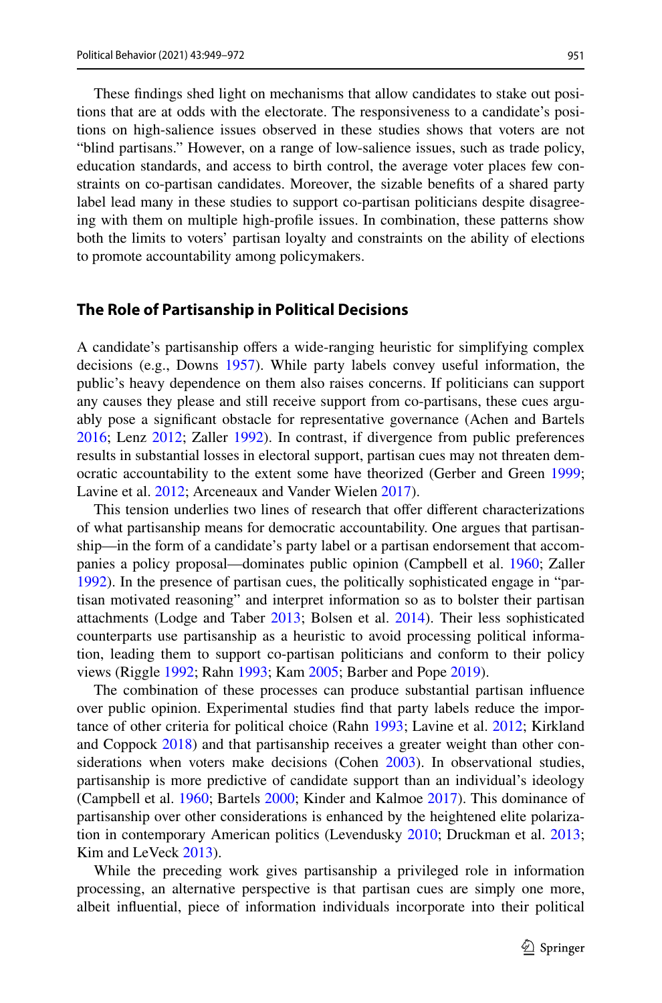These fndings shed light on mechanisms that allow candidates to stake out positions that are at odds with the electorate. The responsiveness to a candidate's positions on high-salience issues observed in these studies shows that voters are not "blind partisans." However, on a range of low-salience issues, such as trade policy, education standards, and access to birth control, the average voter places few constraints on co-partisan candidates. Moreover, the sizable benefts of a shared party label lead many in these studies to support co-partisan politicians despite disagreeing with them on multiple high-profle issues. In combination, these patterns show both the limits to voters' partisan loyalty and constraints on the ability of elections to promote accountability among policymakers.

#### **The Role of Partisanship in Political Decisions**

A candidate's partisanship ofers a wide-ranging heuristic for simplifying complex decisions (e.g., Downs [1957](#page-22-9)). While party labels convey useful information, the public's heavy dependence on them also raises concerns. If politicians can support any causes they please and still receive support from co-partisans, these cues arguably pose a signifcant obstacle for representative governance (Achen and Bartels [2016](#page-21-3); Lenz [2012](#page-23-5); Zaller [1992](#page-23-1)). In contrast, if divergence from public preferences results in substantial losses in electoral support, partisan cues may not threaten democratic accountability to the extent some have theorized (Gerber and Green [1999;](#page-22-10) Lavine et al. [2012;](#page-23-6) Arceneaux and Vander Wielen [2017](#page-21-4)).

This tension underlies two lines of research that offer different characterizations of what partisanship means for democratic accountability. One argues that partisanship—in the form of a candidate's party label or a partisan endorsement that accompanies a policy proposal—dominates public opinion (Campbell et al. [1960](#page-22-0); Zaller [1992](#page-23-1)). In the presence of partisan cues, the politically sophisticated engage in "partisan motivated reasoning" and interpret information so as to bolster their partisan attachments (Lodge and Taber [2013;](#page-23-7) Bolsen et al. [2014](#page-21-5)). Their less sophisticated counterparts use partisanship as a heuristic to avoid processing political information, leading them to support co-partisan politicians and conform to their policy views (Riggle [1992;](#page-23-8) Rahn [1993;](#page-23-0) Kam [2005](#page-22-11); Barber and Pope [2019](#page-21-6)).

The combination of these processes can produce substantial partisan infuence over public opinion. Experimental studies fnd that party labels reduce the importance of other criteria for political choice (Rahn [1993](#page-23-0); Lavine et al. [2012](#page-23-6); Kirkland and Coppock [2018\)](#page-22-12) and that partisanship receives a greater weight than other considerations when voters make decisions (Cohen [2003](#page-22-1)). In observational studies, partisanship is more predictive of candidate support than an individual's ideology (Campbell et al. [1960;](#page-22-0) Bartels [2000;](#page-21-0) Kinder and Kalmoe [2017\)](#page-22-13). This dominance of partisanship over other considerations is enhanced by the heightened elite polarization in contemporary American politics (Levendusky [2010;](#page-23-9) Druckman et al. [2013;](#page-22-14) Kim and LeVeck [2013](#page-22-15)).

While the preceding work gives partisanship a privileged role in information processing, an alternative perspective is that partisan cues are simply one more, albeit infuential, piece of information individuals incorporate into their political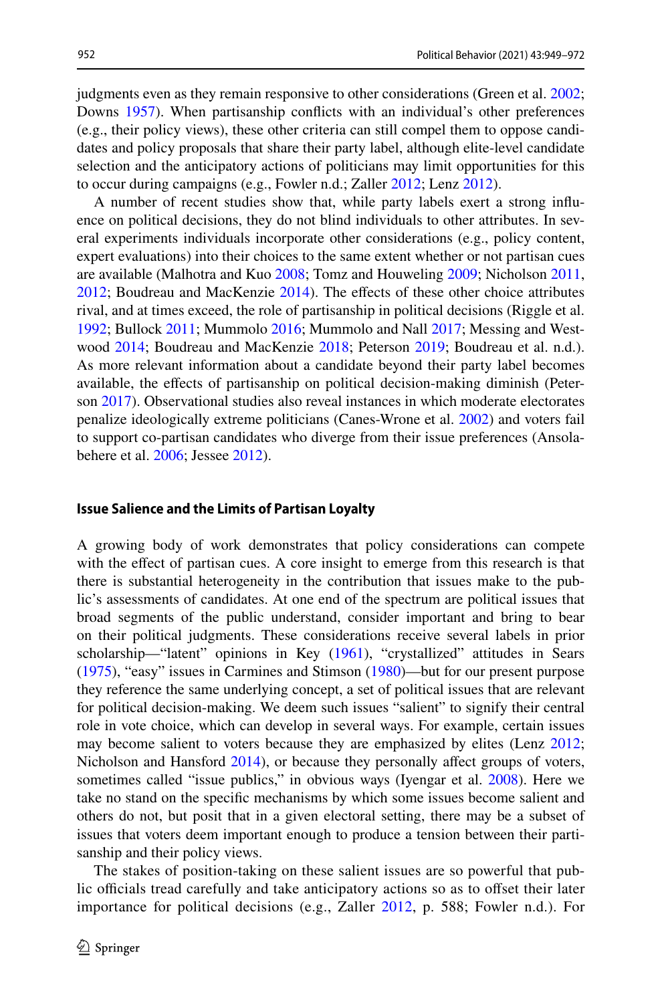judgments even as they remain responsive to other considerations (Green et al. [2002;](#page-22-16) Downs [1957](#page-22-9)). When partisanship conficts with an individual's other preferences (e.g., their policy views), these other criteria can still compel them to oppose candidates and policy proposals that share their party label, although elite-level candidate selection and the anticipatory actions of politicians may limit opportunities for this to occur during campaigns (e.g., Fowler n.d.; Zaller [2012;](#page-23-10) Lenz [2012](#page-23-5)).

A number of recent studies show that, while party labels exert a strong infuence on political decisions, they do not blind individuals to other attributes. In several experiments individuals incorporate other considerations (e.g., policy content, expert evaluations) into their choices to the same extent whether or not partisan cues are available (Malhotra and Kuo [2008;](#page-23-2) Tomz and Houweling [2009](#page-23-11); Nicholson [2011,](#page-23-3)  $2012$ ; Boudreau and MacKenzie  $2014$ ). The effects of these other choice attributes rival, and at times exceed, the role of partisanship in political decisions (Riggle et al. [1992](#page-23-13); Bullock [2011](#page-22-2); Mummolo [2016](#page-23-14); Mummolo and Nall [2017;](#page-23-15) Messing and Westwood [2014](#page-23-16); Boudreau and MacKenzie [2018;](#page-21-7) Peterson [2019;](#page-23-17) Boudreau et al. n.d.). As more relevant information about a candidate beyond their party label becomes available, the efects of partisanship on political decision-making diminish (Peterson [2017](#page-23-18)). Observational studies also reveal instances in which moderate electorates penalize ideologically extreme politicians (Canes-Wrone et al. [2002\)](#page-22-17) and voters fail to support co-partisan candidates who diverge from their issue preferences (Ansola-behere et al. [2006](#page-21-8); Jessee [2012\)](#page-22-4).

#### **Issue Salience and the Limits of Partisan Loyalty**

A growing body of work demonstrates that policy considerations can compete with the efect of partisan cues. A core insight to emerge from this research is that there is substantial heterogeneity in the contribution that issues make to the public's assessments of candidates. At one end of the spectrum are political issues that broad segments of the public understand, consider important and bring to bear on their political judgments. These considerations receive several labels in prior scholarship—"latent" opinions in Key ([1961\)](#page-22-18), "crystallized" attitudes in Sears [\(1975](#page-23-19)), "easy" issues in Carmines and Stimson [\(1980](#page-22-19))—but for our present purpose they reference the same underlying concept, a set of political issues that are relevant for political decision-making. We deem such issues "salient" to signify their central role in vote choice, which can develop in several ways. For example, certain issues may become salient to voters because they are emphasized by elites (Lenz [2012;](#page-23-5) Nicholson and Hansford [2014](#page-23-20)), or because they personally affect groups of voters, sometimes called "issue publics," in obvious ways (Iyengar et al. [2008](#page-22-20)). Here we take no stand on the specifc mechanisms by which some issues become salient and others do not, but posit that in a given electoral setting, there may be a subset of issues that voters deem important enough to produce a tension between their partisanship and their policy views.

The stakes of position-taking on these salient issues are so powerful that public officials tread carefully and take anticipatory actions so as to offset their later importance for political decisions (e.g., Zaller [2012,](#page-23-10) p. 588; Fowler n.d.). For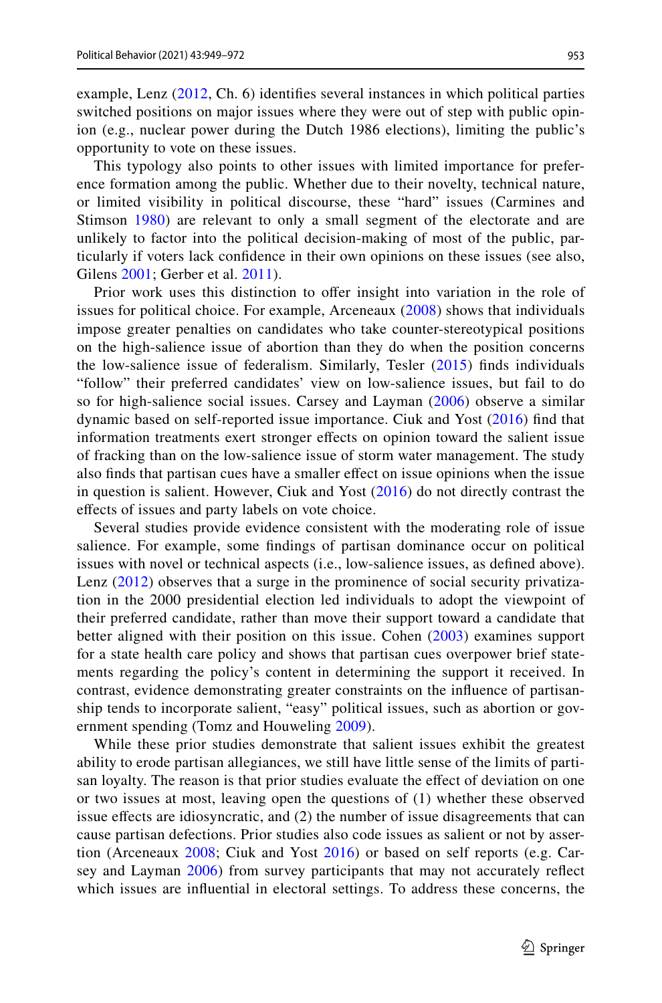example, Lenz ([2012](#page-23-5), Ch. 6) identifes several instances in which political parties switched positions on major issues where they were out of step with public opinion (e.g., nuclear power during the Dutch 1986 elections), limiting the public's opportunity to vote on these issues.

This typology also points to other issues with limited importance for preference formation among the public. Whether due to their novelty, technical nature, or limited visibility in political discourse, these "hard" issues (Carmines and Stimson [1980\)](#page-22-19) are relevant to only a small segment of the electorate and are unlikely to factor into the political decision-making of most of the public, particularly if voters lack confdence in their own opinions on these issues (see also, Gilens [2001](#page-22-21); Gerber et al. [2011](#page-22-22)).

Prior work uses this distinction to ofer insight into variation in the role of issues for political choice. For example, Arceneaux [\(2008](#page-21-2)) shows that individuals impose greater penalties on candidates who take counter-stereotypical positions on the high-salience issue of abortion than they do when the position concerns the low-salience issue of federalism. Similarly, Tesler ([2015](#page-23-21)) fnds individuals "follow" their preferred candidates' view on low-salience issues, but fail to do so for high-salience social issues. Carsey and Layman ([2006\)](#page-22-23) observe a similar dynamic based on self-reported issue importance. Ciuk and Yost ([2016](#page-22-5)) fnd that information treatments exert stronger efects on opinion toward the salient issue of fracking than on the low-salience issue of storm water management. The study also fnds that partisan cues have a smaller efect on issue opinions when the issue in question is salient. However, Ciuk and Yost ([2016](#page-22-5)) do not directly contrast the efects of issues and party labels on vote choice.

Several studies provide evidence consistent with the moderating role of issue salience. For example, some fndings of partisan dominance occur on political issues with novel or technical aspects (i.e., low-salience issues, as defned above). Lenz ([2012\)](#page-23-5) observes that a surge in the prominence of social security privatization in the 2000 presidential election led individuals to adopt the viewpoint of their preferred candidate, rather than move their support toward a candidate that better aligned with their position on this issue. Cohen [\(2003\)](#page-22-1) examines support for a state health care policy and shows that partisan cues overpower brief statements regarding the policy's content in determining the support it received. In contrast, evidence demonstrating greater constraints on the infuence of partisanship tends to incorporate salient, "easy" political issues, such as abortion or gov-ernment spending (Tomz and Houweling [2009](#page-23-11)).

While these prior studies demonstrate that salient issues exhibit the greatest ability to erode partisan allegiances, we still have little sense of the limits of partisan loyalty. The reason is that prior studies evaluate the efect of deviation on one or two issues at most, leaving open the questions of (1) whether these observed issue efects are idiosyncratic, and (2) the number of issue disagreements that can cause partisan defections. Prior studies also code issues as salient or not by assertion (Arceneaux [2008](#page-21-2); Ciuk and Yost [2016\)](#page-22-5) or based on self reports (e.g. Car-sey and Layman [2006\)](#page-22-23) from survey participants that may not accurately reflect which issues are infuential in electoral settings. To address these concerns, the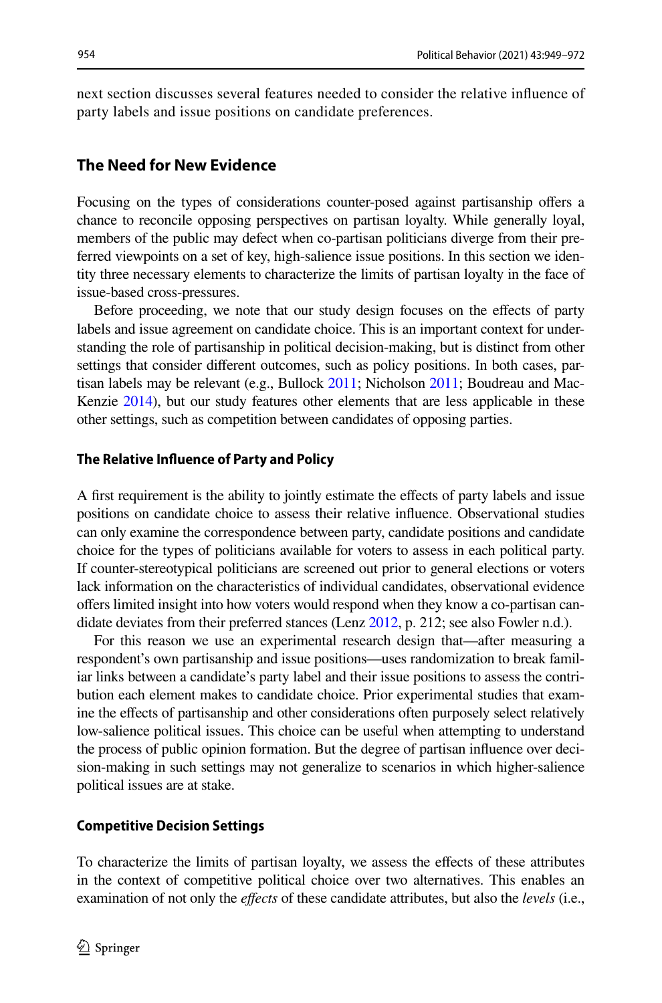next section discusses several features needed to consider the relative infuence of party labels and issue positions on candidate preferences.

#### **The Need for New Evidence**

Focusing on the types of considerations counter-posed against partisanship ofers a chance to reconcile opposing perspectives on partisan loyalty. While generally loyal, members of the public may defect when co-partisan politicians diverge from their preferred viewpoints on a set of key, high-salience issue positions. In this section we identity three necessary elements to characterize the limits of partisan loyalty in the face of issue-based cross-pressures.

Before proceeding, we note that our study design focuses on the efects of party labels and issue agreement on candidate choice. This is an important context for understanding the role of partisanship in political decision-making, but is distinct from other settings that consider diferent outcomes, such as policy positions. In both cases, partisan labels may be relevant (e.g., Bullock [2011](#page-22-2); Nicholson [2011;](#page-23-3) Boudreau and Mac-Kenzie [2014](#page-21-1)), but our study features other elements that are less applicable in these other settings, such as competition between candidates of opposing parties.

#### **The Relative Infuence of Party and Policy**

A frst requirement is the ability to jointly estimate the efects of party labels and issue positions on candidate choice to assess their relative infuence. Observational studies can only examine the correspondence between party, candidate positions and candidate choice for the types of politicians available for voters to assess in each political party. If counter-stereotypical politicians are screened out prior to general elections or voters lack information on the characteristics of individual candidates, observational evidence ofers limited insight into how voters would respond when they know a co-partisan candidate deviates from their preferred stances (Lenz [2012](#page-23-5), p. 212; see also Fowler n.d.).

For this reason we use an experimental research design that—after measuring a respondent's own partisanship and issue positions—uses randomization to break familiar links between a candidate's party label and their issue positions to assess the contribution each element makes to candidate choice. Prior experimental studies that examine the efects of partisanship and other considerations often purposely select relatively low-salience political issues. This choice can be useful when attempting to understand the process of public opinion formation. But the degree of partisan infuence over decision-making in such settings may not generalize to scenarios in which higher-salience political issues are at stake.

#### **Competitive Decision Settings**

To characterize the limits of partisan loyalty, we assess the efects of these attributes in the context of competitive political choice over two alternatives. This enables an examination of not only the *efects* of these candidate attributes, but also the *levels* (i.e.,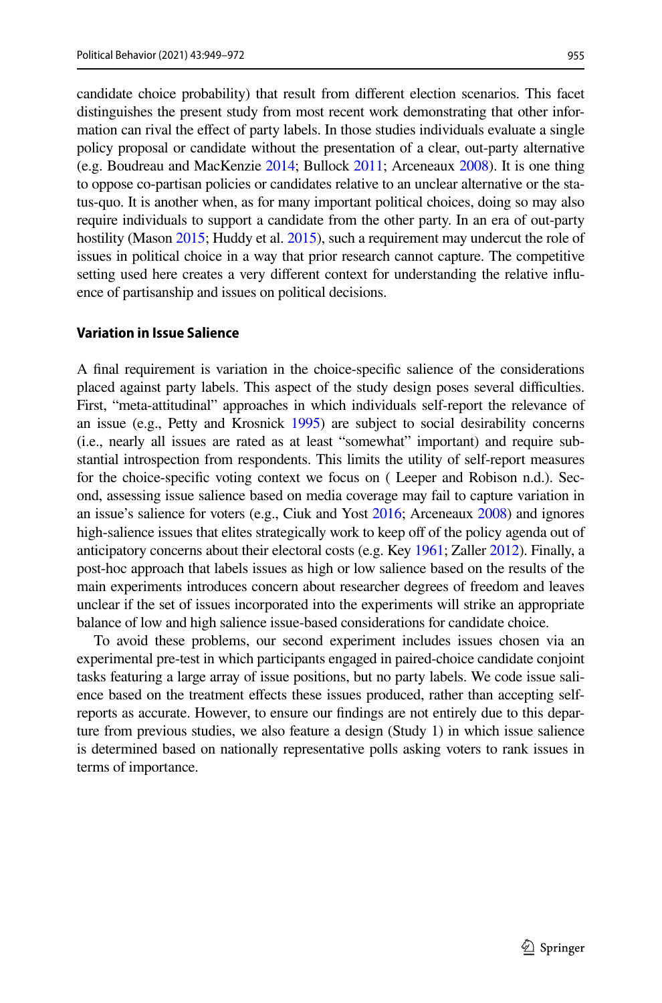955

candidate choice probability) that result from diferent election scenarios. This facet distinguishes the present study from most recent work demonstrating that other information can rival the efect of party labels. In those studies individuals evaluate a single policy proposal or candidate without the presentation of a clear, out-party alternative (e.g. Boudreau and MacKenzie [2014;](#page-21-1) Bullock [2011](#page-22-2); Arceneaux [2008\)](#page-21-2). It is one thing to oppose co-partisan policies or candidates relative to an unclear alternative or the status-quo. It is another when, as for many important political choices, doing so may also require individuals to support a candidate from the other party. In an era of out-party hostility (Mason [2015](#page-22-8); Huddy et al. 2015), such a requirement may undercut the role of issues in political choice in a way that prior research cannot capture. The competitive setting used here creates a very diferent context for understanding the relative infuence of partisanship and issues on political decisions.

#### **Variation in Issue Salience**

A fnal requirement is variation in the choice-specifc salience of the considerations placed against party labels. This aspect of the study design poses several difculties. First, "meta-attitudinal" approaches in which individuals self-report the relevance of an issue (e.g., Petty and Krosnick [1995\)](#page-23-22) are subject to social desirability concerns (i.e., nearly all issues are rated as at least "somewhat" important) and require substantial introspection from respondents. This limits the utility of self-report measures for the choice-specifc voting context we focus on ( Leeper and Robison n.d.). Second, assessing issue salience based on media coverage may fail to capture variation in an issue's salience for voters (e.g., Ciuk and Yost [2016;](#page-22-5) Arceneaux [2008\)](#page-21-2) and ignores high-salience issues that elites strategically work to keep off of the policy agenda out of anticipatory concerns about their electoral costs (e.g. Key [1961;](#page-22-18) Zaller [2012\)](#page-23-10). Finally, a post-hoc approach that labels issues as high or low salience based on the results of the main experiments introduces concern about researcher degrees of freedom and leaves unclear if the set of issues incorporated into the experiments will strike an appropriate balance of low and high salience issue-based considerations for candidate choice.

To avoid these problems, our second experiment includes issues chosen via an experimental pre-test in which participants engaged in paired-choice candidate conjoint tasks featuring a large array of issue positions, but no party labels. We code issue salience based on the treatment efects these issues produced, rather than accepting selfreports as accurate. However, to ensure our fndings are not entirely due to this departure from previous studies, we also feature a design (Study 1) in which issue salience is determined based on nationally representative polls asking voters to rank issues in terms of importance.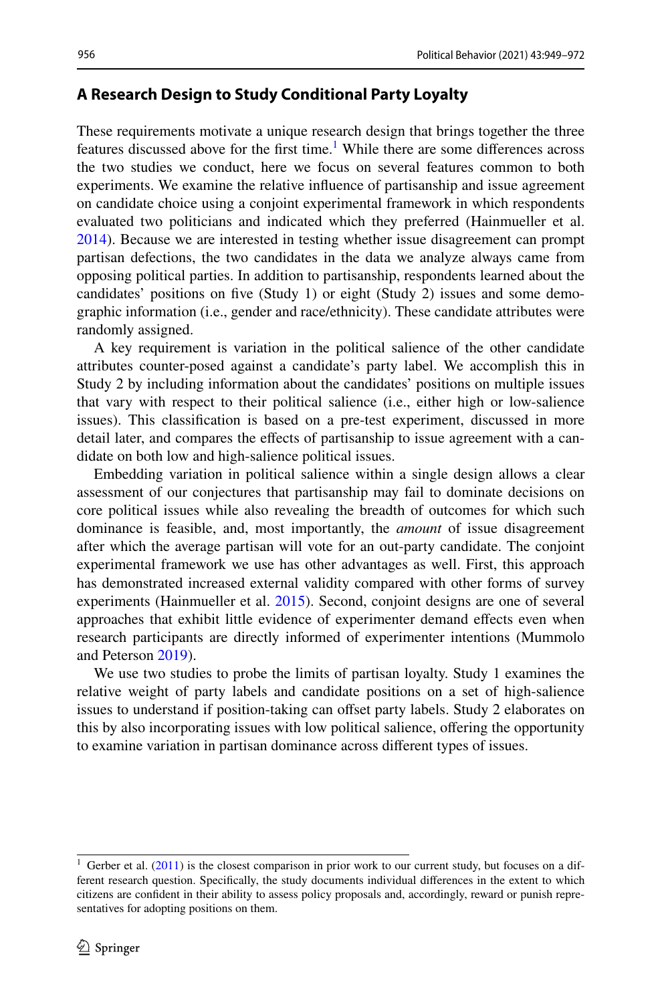#### **A Research Design to Study Conditional Party Loyalty**

These requirements motivate a unique research design that brings together the three features discussed above for the first time.<sup>[1](#page-7-0)</sup> While there are some differences across the two studies we conduct, here we focus on several features common to both experiments. We examine the relative infuence of partisanship and issue agreement on candidate choice using a conjoint experimental framework in which respondents evaluated two politicians and indicated which they preferred (Hainmueller et al. [2014](#page-22-6)). Because we are interested in testing whether issue disagreement can prompt partisan defections, the two candidates in the data we analyze always came from opposing political parties. In addition to partisanship, respondents learned about the candidates' positions on fve (Study 1) or eight (Study 2) issues and some demographic information (i.e., gender and race/ethnicity). These candidate attributes were randomly assigned.

A key requirement is variation in the political salience of the other candidate attributes counter-posed against a candidate's party label. We accomplish this in Study 2 by including information about the candidates' positions on multiple issues that vary with respect to their political salience (i.e., either high or low-salience issues). This classifcation is based on a pre-test experiment, discussed in more detail later, and compares the effects of partisanship to issue agreement with a candidate on both low and high-salience political issues.

Embedding variation in political salience within a single design allows a clear assessment of our conjectures that partisanship may fail to dominate decisions on core political issues while also revealing the breadth of outcomes for which such dominance is feasible, and, most importantly, the *amount* of issue disagreement after which the average partisan will vote for an out-party candidate. The conjoint experimental framework we use has other advantages as well. First, this approach has demonstrated increased external validity compared with other forms of survey experiments (Hainmueller et al. [2015\)](#page-22-24). Second, conjoint designs are one of several approaches that exhibit little evidence of experimenter demand effects even when research participants are directly informed of experimenter intentions (Mummolo and Peterson [2019\)](#page-23-23).

We use two studies to probe the limits of partisan loyalty. Study 1 examines the relative weight of party labels and candidate positions on a set of high-salience issues to understand if position-taking can offset party labels. Study 2 elaborates on this by also incorporating issues with low political salience, ofering the opportunity to examine variation in partisan dominance across diferent types of issues.

<span id="page-7-0"></span><sup>&</sup>lt;sup>1</sup> Gerber et al. [\(2011](#page-22-22)) is the closest comparison in prior work to our current study, but focuses on a different research question. Specifcally, the study documents individual diferences in the extent to which citizens are confdent in their ability to assess policy proposals and, accordingly, reward or punish representatives for adopting positions on them.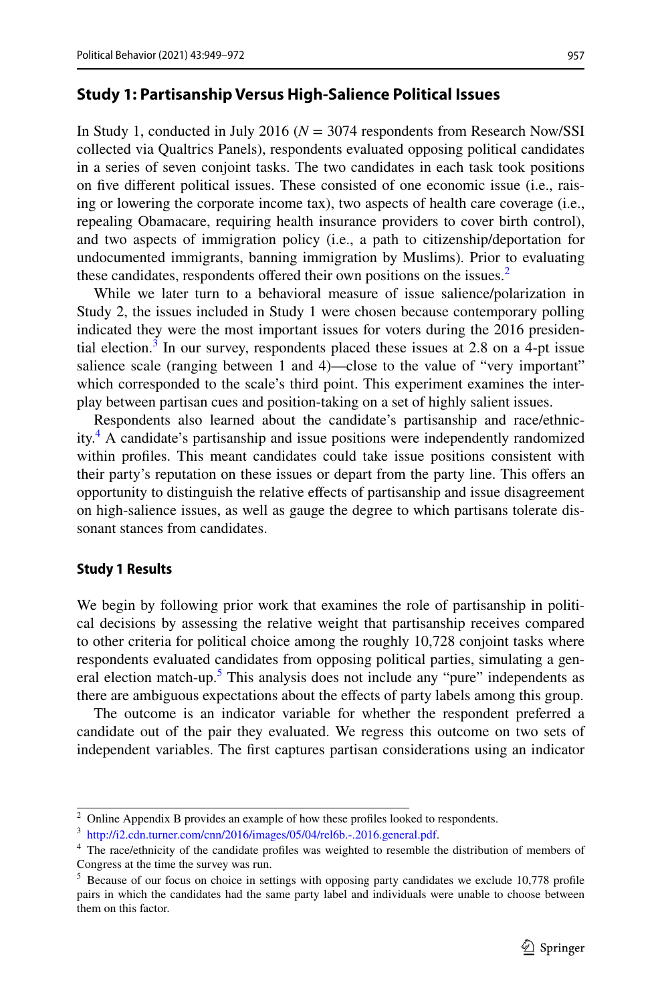#### **Study 1: Partisanship Versus High‑Salience Political Issues**

In Study 1, conducted in July 2016 (*N* = 3074 respondents from Research Now/SSI collected via Qualtrics Panels), respondents evaluated opposing political candidates in a series of seven conjoint tasks. The two candidates in each task took positions on fve diferent political issues. These consisted of one economic issue (i.e., raising or lowering the corporate income tax), two aspects of health care coverage (i.e., repealing Obamacare, requiring health insurance providers to cover birth control), and two aspects of immigration policy (i.e., a path to citizenship/deportation for undocumented immigrants, banning immigration by Muslims). Prior to evaluating these candidates, respondents offered their own positions on the issues.<sup>2</sup>

While we later turn to a behavioral measure of issue salience/polarization in Study 2, the issues included in Study 1 were chosen because contemporary polling indicated they were the most important issues for voters during the 2016 presiden-tial election.<sup>[3](#page-8-1)</sup> In our survey, respondents placed these issues at 2.8 on a 4-pt issue salience scale (ranging between 1 and 4)—close to the value of "very important" which corresponded to the scale's third point. This experiment examines the interplay between partisan cues and position-taking on a set of highly salient issues.

Respondents also learned about the candidate's partisanship and race/ethnicity[.4](#page-8-2) A candidate's partisanship and issue positions were independently randomized within profles. This meant candidates could take issue positions consistent with their party's reputation on these issues or depart from the party line. This ofers an opportunity to distinguish the relative efects of partisanship and issue disagreement on high-salience issues, as well as gauge the degree to which partisans tolerate dissonant stances from candidates.

#### **Study 1 Results**

We begin by following prior work that examines the role of partisanship in political decisions by assessing the relative weight that partisanship receives compared to other criteria for political choice among the roughly 10,728 conjoint tasks where respondents evaluated candidates from opposing political parties, simulating a gen-eral election match-up.<sup>[5](#page-8-3)</sup> This analysis does not include any "pure" independents as there are ambiguous expectations about the efects of party labels among this group.

The outcome is an indicator variable for whether the respondent preferred a candidate out of the pair they evaluated. We regress this outcome on two sets of independent variables. The frst captures partisan considerations using an indicator

<span id="page-8-0"></span><sup>&</sup>lt;sup>2</sup> Online Appendix B provides an example of how these profiles looked to respondents.

<span id="page-8-1"></span><sup>3</sup> [http://i2.cdn.turner.com/cnn/2016/images/05/04/rel6b.-.2016.general.pdf.](http://i2.cdn.turner.com/cnn/2016/images/05/04/rel6b.-.2016.general.pdf)

<span id="page-8-2"></span><sup>4</sup> The race/ethnicity of the candidate profles was weighted to resemble the distribution of members of Congress at the time the survey was run.

<span id="page-8-3"></span><sup>&</sup>lt;sup>5</sup> Because of our focus on choice in settings with opposing party candidates we exclude 10,778 profile pairs in which the candidates had the same party label and individuals were unable to choose between them on this factor.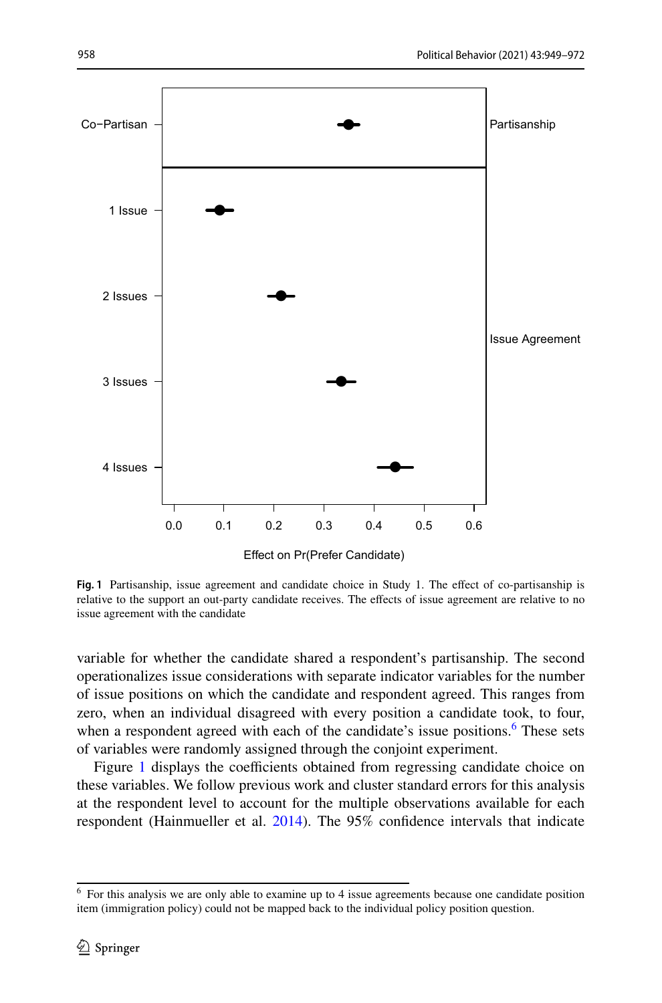

<span id="page-9-1"></span>**Fig. 1** Partisanship, issue agreement and candidate choice in Study 1. The efect of co-partisanship is relative to the support an out-party candidate receives. The efects of issue agreement are relative to no issue agreement with the candidate

variable for whether the candidate shared a respondent's partisanship. The second operationalizes issue considerations with separate indicator variables for the number of issue positions on which the candidate and respondent agreed. This ranges from zero, when an individual disagreed with every position a candidate took, to four, when a respondent agreed with each of the candidate's issue positions.<sup>[6](#page-9-0)</sup> These sets of variables were randomly assigned through the conjoint experiment.

Figure [1](#page-9-1) displays the coefficients obtained from regressing candidate choice on these variables. We follow previous work and cluster standard errors for this analysis at the respondent level to account for the multiple observations available for each respondent (Hainmueller et al. [2014](#page-22-6)). The 95% confidence intervals that indicate

<span id="page-9-0"></span><sup>&</sup>lt;sup>6</sup> For this analysis we are only able to examine up to 4 issue agreements because one candidate position item (immigration policy) could not be mapped back to the individual policy position question.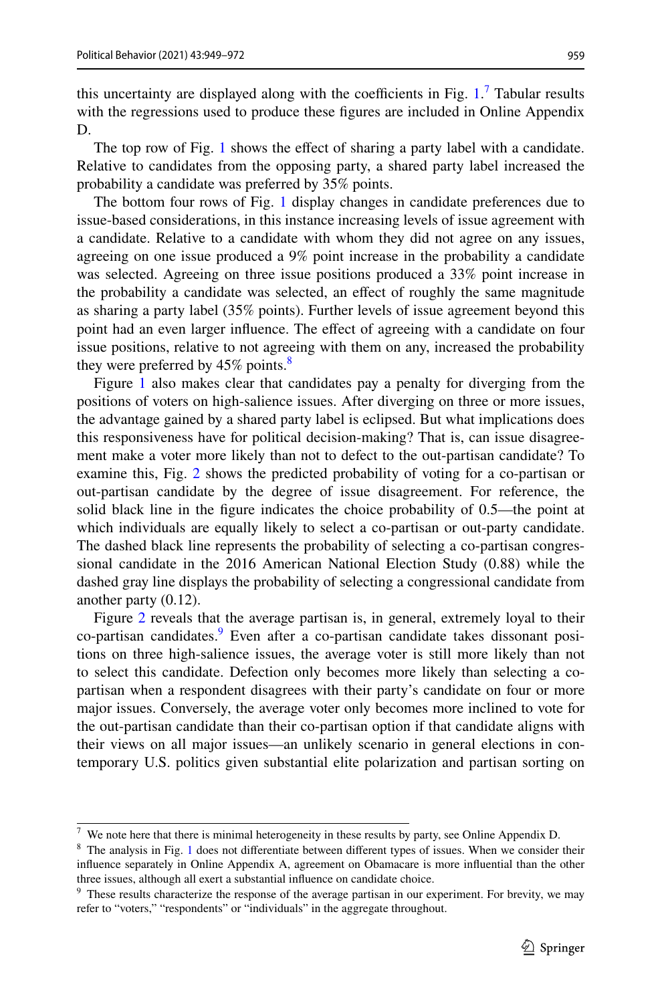this uncertainty are displayed along with the coefficients in Fig.  $1$ . Tabular results with the regressions used to produce these fgures are included in Online Appendix D.

The top row of Fig. [1](#page-9-1) shows the efect of sharing a party label with a candidate. Relative to candidates from the opposing party, a shared party label increased the probability a candidate was preferred by 35% points.

The bottom four rows of Fig. [1](#page-9-1) display changes in candidate preferences due to issue-based considerations, in this instance increasing levels of issue agreement with a candidate. Relative to a candidate with whom they did not agree on any issues, agreeing on one issue produced a 9% point increase in the probability a candidate was selected. Agreeing on three issue positions produced a 33% point increase in the probability a candidate was selected, an efect of roughly the same magnitude as sharing a party label (35% points). Further levels of issue agreement beyond this point had an even larger infuence. The efect of agreeing with a candidate on four issue positions, relative to not agreeing with them on any, increased the probability they were preferred by  $45\%$  points.<sup>[8](#page-10-1)</sup>

Figure [1](#page-9-1) also makes clear that candidates pay a penalty for diverging from the positions of voters on high-salience issues. After diverging on three or more issues, the advantage gained by a shared party label is eclipsed. But what implications does this responsiveness have for political decision-making? That is, can issue disagreement make a voter more likely than not to defect to the out-partisan candidate? To examine this, Fig. [2](#page-11-0) shows the predicted probability of voting for a co-partisan or out-partisan candidate by the degree of issue disagreement. For reference, the solid black line in the fgure indicates the choice probability of 0.5—the point at which individuals are equally likely to select a co-partisan or out-party candidate. The dashed black line represents the probability of selecting a co-partisan congressional candidate in the 2016 American National Election Study (0.88) while the dashed gray line displays the probability of selecting a congressional candidate from another party (0.12).

Figure [2](#page-11-0) reveals that the average partisan is, in general, extremely loyal to their co-partisan candidates.<sup>[9](#page-10-2)</sup> Even after a co-partisan candidate takes dissonant positions on three high-salience issues, the average voter is still more likely than not to select this candidate. Defection only becomes more likely than selecting a copartisan when a respondent disagrees with their party's candidate on four or more major issues. Conversely, the average voter only becomes more inclined to vote for the out-partisan candidate than their co-partisan option if that candidate aligns with their views on all major issues—an unlikely scenario in general elections in contemporary U.S. politics given substantial elite polarization and partisan sorting on

<span id="page-10-0"></span> $7\,$  We note here that there is minimal heterogeneity in these results by party, see Online Appendix D.

<span id="page-10-1"></span><sup>&</sup>lt;sup>8</sup> The analysis in Fig. [1](#page-9-1) does not differentiate between different types of issues. When we consider their infuence separately in Online Appendix A, agreement on Obamacare is more infuential than the other three issues, although all exert a substantial infuence on candidate choice.

<span id="page-10-2"></span><sup>&</sup>lt;sup>9</sup> These results characterize the response of the average partisan in our experiment. For brevity, we may refer to "voters," "respondents" or "individuals" in the aggregate throughout.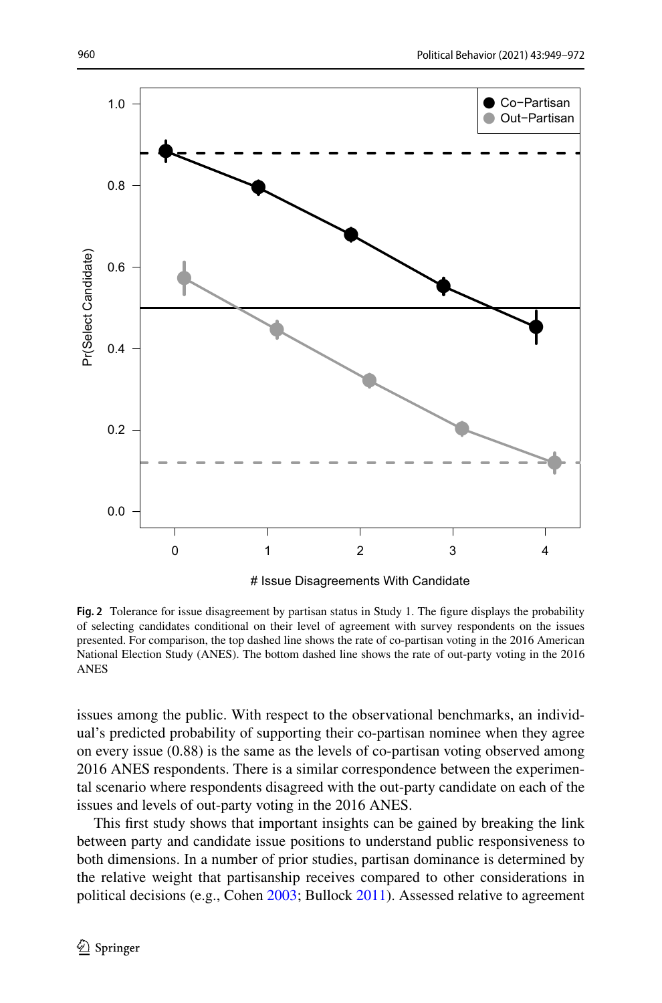

# Issue Disagreements With Candidate

<span id="page-11-0"></span>**Fig. 2** Tolerance for issue disagreement by partisan status in Study 1. The figure displays the probability of selecting candidates conditional on their level of agreement with survey respondents on the issues presented. For comparison, the top dashed line shows the rate of co-partisan voting in the 2016 American National Election Study (ANES). The bottom dashed line shows the rate of out-party voting in the 2016 ANES

issues among the public. With respect to the observational benchmarks, an individual's predicted probability of supporting their co-partisan nominee when they agree on every issue (0.88) is the same as the levels of co-partisan voting observed among 2016 ANES respondents. There is a similar correspondence between the experimental scenario where respondents disagreed with the out-party candidate on each of the issues and levels of out-party voting in the 2016 ANES.

This frst study shows that important insights can be gained by breaking the link between party and candidate issue positions to understand public responsiveness to both dimensions. In a number of prior studies, partisan dominance is determined by the relative weight that partisanship receives compared to other considerations in political decisions (e.g., Cohen [2003](#page-22-1); Bullock [2011\)](#page-22-2). Assessed relative to agreement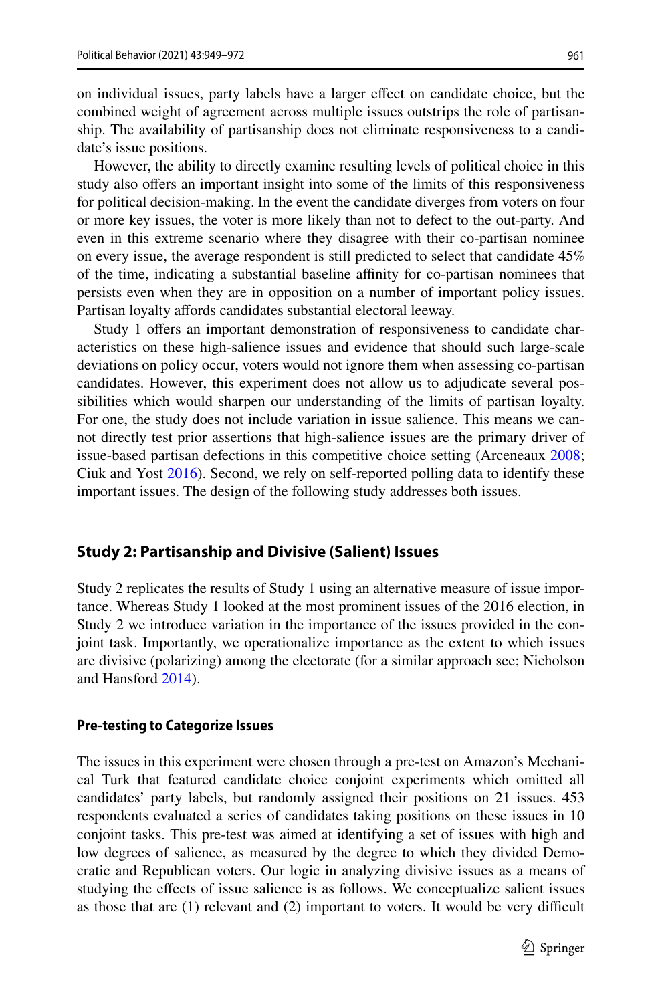on individual issues, party labels have a larger efect on candidate choice, but the combined weight of agreement across multiple issues outstrips the role of partisanship. The availability of partisanship does not eliminate responsiveness to a candidate's issue positions.

However, the ability to directly examine resulting levels of political choice in this study also ofers an important insight into some of the limits of this responsiveness for political decision-making. In the event the candidate diverges from voters on four or more key issues, the voter is more likely than not to defect to the out-party. And even in this extreme scenario where they disagree with their co-partisan nominee on every issue, the average respondent is still predicted to select that candidate 45% of the time, indicating a substantial baseline afnity for co-partisan nominees that persists even when they are in opposition on a number of important policy issues. Partisan loyalty affords candidates substantial electoral leeway.

Study 1 offers an important demonstration of responsiveness to candidate characteristics on these high-salience issues and evidence that should such large-scale deviations on policy occur, voters would not ignore them when assessing co-partisan candidates. However, this experiment does not allow us to adjudicate several possibilities which would sharpen our understanding of the limits of partisan loyalty. For one, the study does not include variation in issue salience. This means we cannot directly test prior assertions that high-salience issues are the primary driver of issue-based partisan defections in this competitive choice setting (Arceneaux [2008;](#page-21-2) Ciuk and Yost [2016](#page-22-5)). Second, we rely on self-reported polling data to identify these important issues. The design of the following study addresses both issues.

#### **Study 2: Partisanship and Divisive (Salient) Issues**

Study 2 replicates the results of Study 1 using an alternative measure of issue importance. Whereas Study 1 looked at the most prominent issues of the 2016 election, in Study 2 we introduce variation in the importance of the issues provided in the conjoint task. Importantly, we operationalize importance as the extent to which issues are divisive (polarizing) among the electorate (for a similar approach see; Nicholson and Hansford [2014](#page-23-20)).

#### **Pre‑testing to Categorize Issues**

The issues in this experiment were chosen through a pre-test on Amazon's Mechanical Turk that featured candidate choice conjoint experiments which omitted all candidates' party labels, but randomly assigned their positions on 21 issues. 453 respondents evaluated a series of candidates taking positions on these issues in 10 conjoint tasks. This pre-test was aimed at identifying a set of issues with high and low degrees of salience, as measured by the degree to which they divided Democratic and Republican voters. Our logic in analyzing divisive issues as a means of studying the efects of issue salience is as follows. We conceptualize salient issues as those that are  $(1)$  relevant and  $(2)$  important to voters. It would be very difficult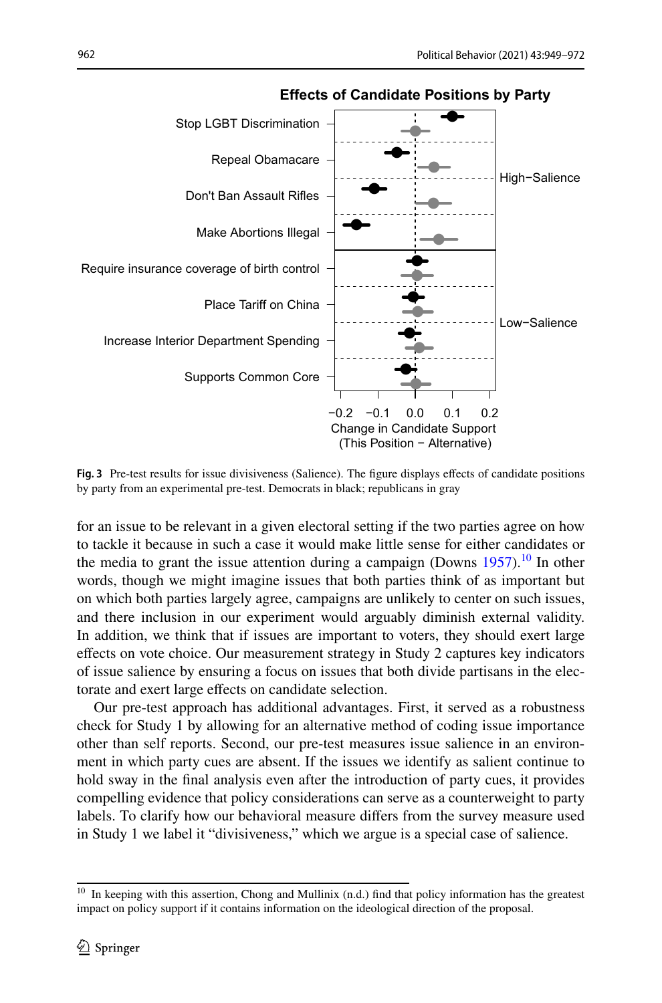

**Effects of Candidate Positions by Party**

<span id="page-13-1"></span>**Fig. 3** Pre-test results for issue divisiveness (Salience). The fgure displays efects of candidate positions by party from an experimental pre-test. Democrats in black; republicans in gray

for an issue to be relevant in a given electoral setting if the two parties agree on how to tackle it because in such a case it would make little sense for either candidates or the media to grant the issue attention during a campaign (Downs  $1957$ ).<sup>10</sup> In other words, though we might imagine issues that both parties think of as important but on which both parties largely agree, campaigns are unlikely to center on such issues, and there inclusion in our experiment would arguably diminish external validity. In addition, we think that if issues are important to voters, they should exert large efects on vote choice. Our measurement strategy in Study 2 captures key indicators of issue salience by ensuring a focus on issues that both divide partisans in the electorate and exert large effects on candidate selection.

Our pre-test approach has additional advantages. First, it served as a robustness check for Study 1 by allowing for an alternative method of coding issue importance other than self reports. Second, our pre-test measures issue salience in an environment in which party cues are absent. If the issues we identify as salient continue to hold sway in the fnal analysis even after the introduction of party cues, it provides compelling evidence that policy considerations can serve as a counterweight to party labels. To clarify how our behavioral measure difers from the survey measure used in Study 1 we label it "divisiveness," which we argue is a special case of salience.

<span id="page-13-0"></span><sup>&</sup>lt;sup>10</sup> In keeping with this assertion, Chong and Mullinix (n.d.) find that policy information has the greatest impact on policy support if it contains information on the ideological direction of the proposal.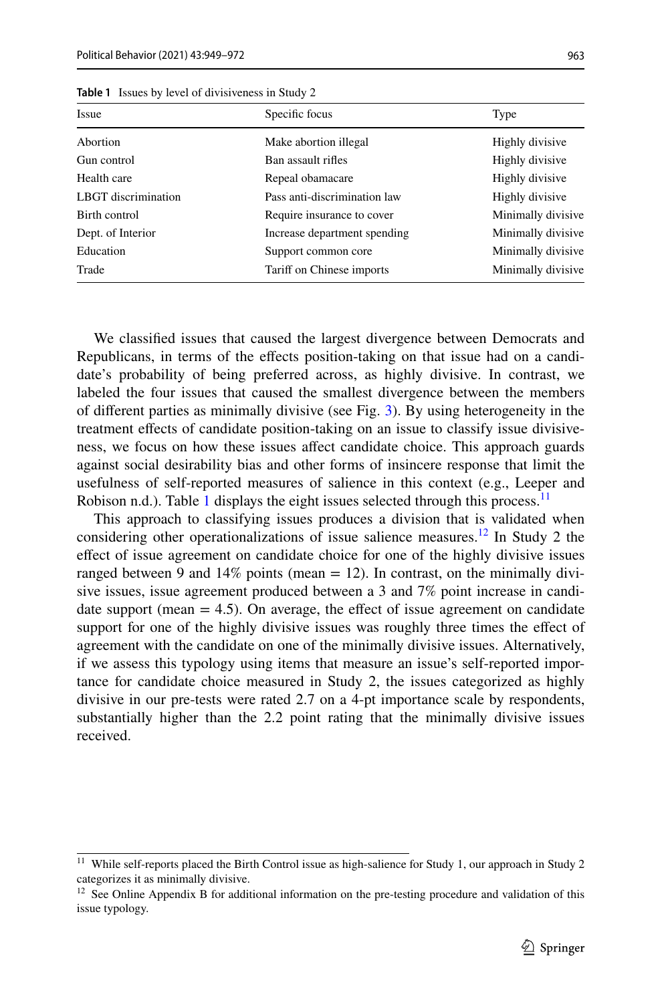| Issue               | Specific focus               | Type               |
|---------------------|------------------------------|--------------------|
| Abortion            | Make abortion illegal        | Highly divisive    |
| Gun control         | Ban assault rifles           | Highly divisive    |
| Health care         | Repeal obamacare             | Highly divisive    |
| LBGT discrimination | Pass anti-discrimination law | Highly divisive    |
| Birth control       | Require insurance to cover   | Minimally divisive |
| Dept. of Interior   | Increase department spending | Minimally divisive |
| Education           | Support common core          | Minimally divisive |
| Trade               | Tariff on Chinese imports    | Minimally divisive |

<span id="page-14-0"></span>**Table 1** Issues by level of divisiveness in Study 2

We classifed issues that caused the largest divergence between Democrats and Republicans, in terms of the efects position-taking on that issue had on a candidate's probability of being preferred across, as highly divisive. In contrast, we labeled the four issues that caused the smallest divergence between the members of diferent parties as minimally divisive (see Fig. [3\)](#page-13-1). By using heterogeneity in the treatment efects of candidate position-taking on an issue to classify issue divisiveness, we focus on how these issues afect candidate choice. This approach guards against social desirability bias and other forms of insincere response that limit the usefulness of self-reported measures of salience in this context (e.g., Leeper and Robison n.d.). Table [1](#page-14-0) displays the eight issues selected through this process.<sup>[11](#page-14-1)</sup>

This approach to classifying issues produces a division that is validated when considering other operationalizations of issue salience measures.<sup>12</sup> In Study 2 the efect of issue agreement on candidate choice for one of the highly divisive issues ranged between 9 and  $14\%$  points (mean  $= 12$ ). In contrast, on the minimally divisive issues, issue agreement produced between a 3 and 7% point increase in candidate support (mean  $= 4.5$ ). On average, the effect of issue agreement on candidate support for one of the highly divisive issues was roughly three times the efect of agreement with the candidate on one of the minimally divisive issues. Alternatively, if we assess this typology using items that measure an issue's self-reported importance for candidate choice measured in Study 2, the issues categorized as highly divisive in our pre-tests were rated 2.7 on a 4-pt importance scale by respondents, substantially higher than the 2.2 point rating that the minimally divisive issues received.

<span id="page-14-1"></span><sup>&</sup>lt;sup>11</sup> While self-reports placed the Birth Control issue as high-salience for Study 1, our approach in Study 2 categorizes it as minimally divisive.

<span id="page-14-2"></span> $12$  See Online Appendix B for additional information on the pre-testing procedure and validation of this issue typology.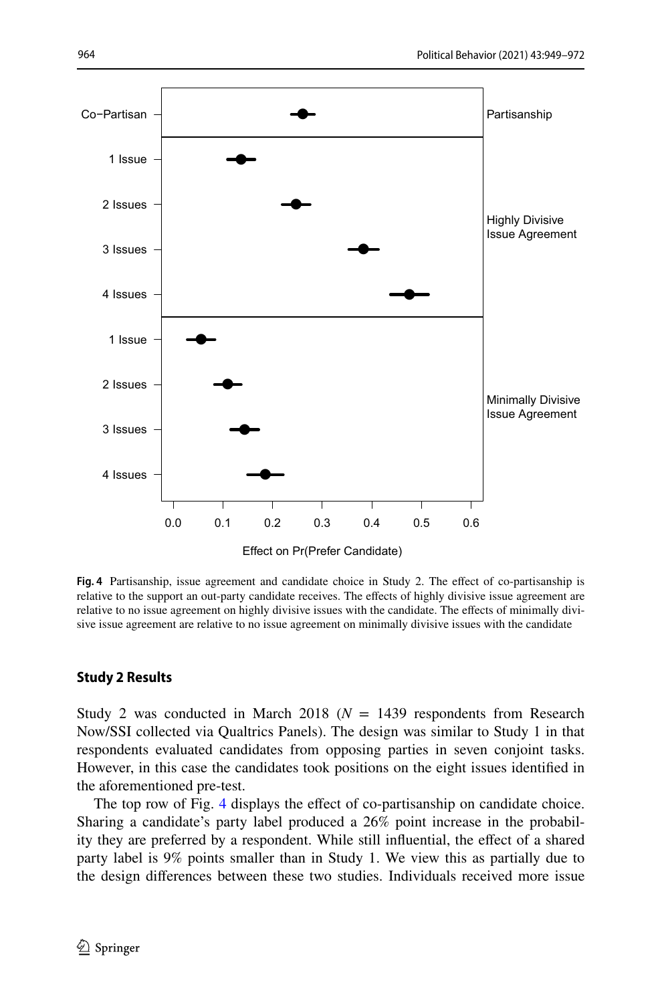

<span id="page-15-0"></span>**Fig. 4** Partisanship, issue agreement and candidate choice in Study 2. The efect of co-partisanship is relative to the support an out-party candidate receives. The efects of highly divisive issue agreement are relative to no issue agreement on highly divisive issues with the candidate. The efects of minimally divisive issue agreement are relative to no issue agreement on minimally divisive issues with the candidate

#### **Study 2 Results**

Study 2 was conducted in March 2018 ( $N = 1439$  respondents from Research Now/SSI collected via Qualtrics Panels). The design was similar to Study 1 in that respondents evaluated candidates from opposing parties in seven conjoint tasks. However, in this case the candidates took positions on the eight issues identifed in the aforementioned pre-test.

The top row of Fig. [4](#page-15-0) displays the effect of co-partisanship on candidate choice. Sharing a candidate's party label produced a 26% point increase in the probability they are preferred by a respondent. While still infuential, the efect of a shared party label is 9% points smaller than in Study 1. We view this as partially due to the design diferences between these two studies. Individuals received more issue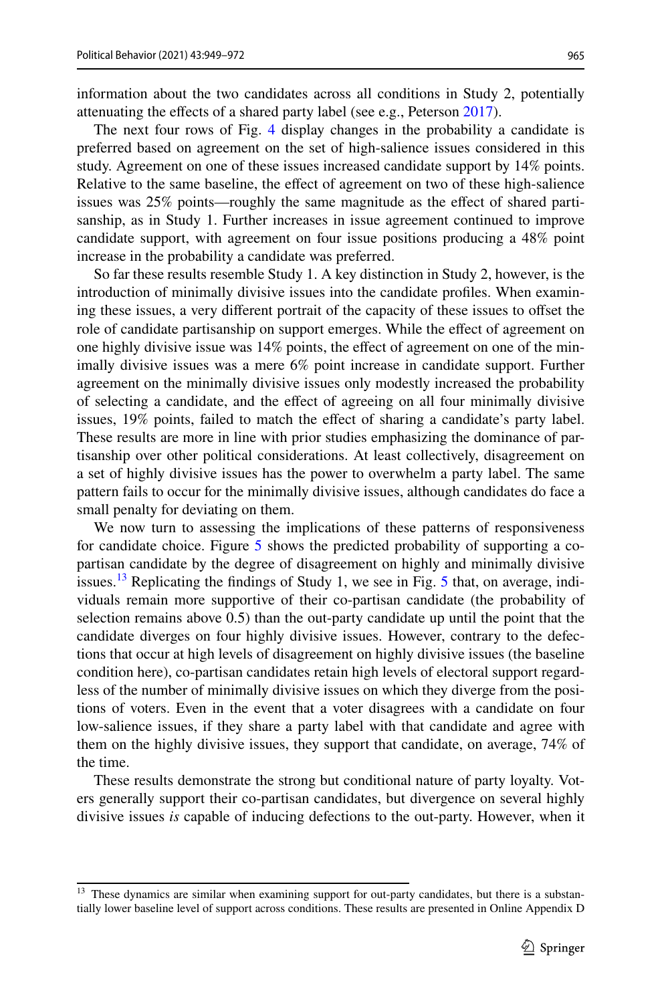information about the two candidates across all conditions in Study 2, potentially attenuating the effects of a shared party label (see e.g., Peterson [2017\)](#page-23-18).

The next four rows of Fig. [4](#page-15-0) display changes in the probability a candidate is preferred based on agreement on the set of high-salience issues considered in this study. Agreement on one of these issues increased candidate support by 14% points. Relative to the same baseline, the efect of agreement on two of these high-salience issues was 25% points—roughly the same magnitude as the efect of shared partisanship, as in Study 1. Further increases in issue agreement continued to improve candidate support, with agreement on four issue positions producing a 48% point increase in the probability a candidate was preferred.

So far these results resemble Study 1. A key distinction in Study 2, however, is the introduction of minimally divisive issues into the candidate profles. When examining these issues, a very diferent portrait of the capacity of these issues to ofset the role of candidate partisanship on support emerges. While the efect of agreement on one highly divisive issue was 14% points, the efect of agreement on one of the minimally divisive issues was a mere 6% point increase in candidate support. Further agreement on the minimally divisive issues only modestly increased the probability of selecting a candidate, and the efect of agreeing on all four minimally divisive issues, 19% points, failed to match the efect of sharing a candidate's party label. These results are more in line with prior studies emphasizing the dominance of partisanship over other political considerations. At least collectively, disagreement on a set of highly divisive issues has the power to overwhelm a party label. The same pattern fails to occur for the minimally divisive issues, although candidates do face a small penalty for deviating on them.

We now turn to assessing the implications of these patterns of responsiveness for candidate choice. Figure [5](#page-17-0) shows the predicted probability of supporting a copartisan candidate by the degree of disagreement on highly and minimally divisive issues.<sup>13</sup> Replicating the findings of Study 1, we see in Fig. [5](#page-17-0) that, on average, individuals remain more supportive of their co-partisan candidate (the probability of selection remains above 0.5) than the out-party candidate up until the point that the candidate diverges on four highly divisive issues. However, contrary to the defections that occur at high levels of disagreement on highly divisive issues (the baseline condition here), co-partisan candidates retain high levels of electoral support regardless of the number of minimally divisive issues on which they diverge from the positions of voters. Even in the event that a voter disagrees with a candidate on four low-salience issues, if they share a party label with that candidate and agree with them on the highly divisive issues, they support that candidate, on average, 74% of the time.

These results demonstrate the strong but conditional nature of party loyalty. Voters generally support their co-partisan candidates, but divergence on several highly divisive issues *is* capable of inducing defections to the out-party. However, when it

<span id="page-16-0"></span><sup>&</sup>lt;sup>13</sup> These dynamics are similar when examining support for out-party candidates, but there is a substantially lower baseline level of support across conditions. These results are presented in Online Appendix D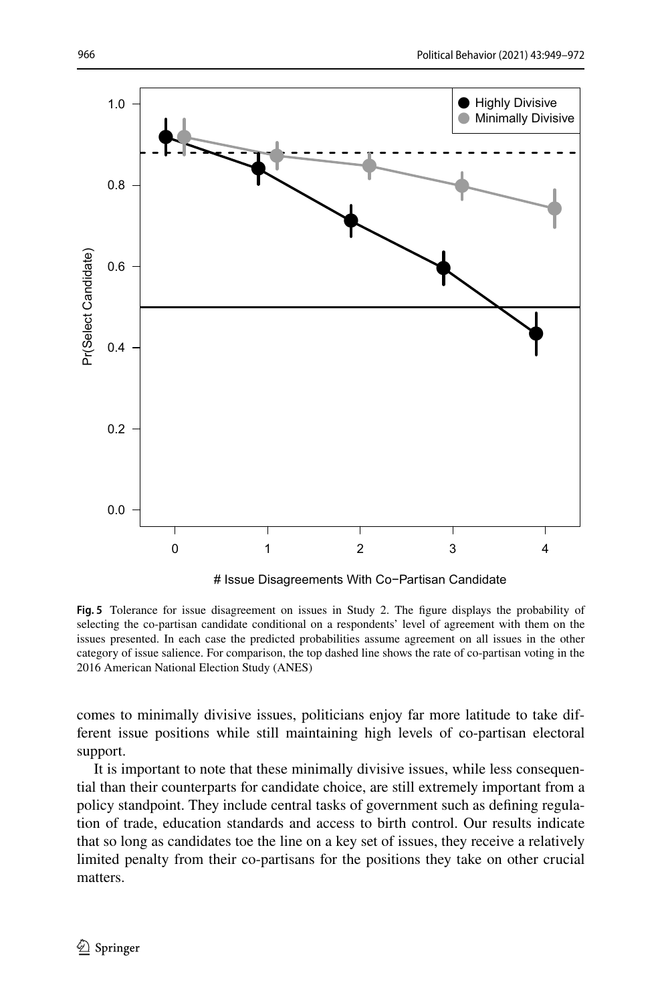

# Issue Disagreements With Co−Partisan Candidate

<span id="page-17-0"></span>**Fig. 5** Tolerance for issue disagreement on issues in Study 2. The fgure displays the probability of selecting the co-partisan candidate conditional on a respondents' level of agreement with them on the issues presented. In each case the predicted probabilities assume agreement on all issues in the other category of issue salience. For comparison, the top dashed line shows the rate of co-partisan voting in the 2016 American National Election Study (ANES)

comes to minimally divisive issues, politicians enjoy far more latitude to take different issue positions while still maintaining high levels of co-partisan electoral support.

It is important to note that these minimally divisive issues, while less consequential than their counterparts for candidate choice, are still extremely important from a policy standpoint. They include central tasks of government such as defning regulation of trade, education standards and access to birth control. Our results indicate that so long as candidates toe the line on a key set of issues, they receive a relatively limited penalty from their co-partisans for the positions they take on other crucial matters.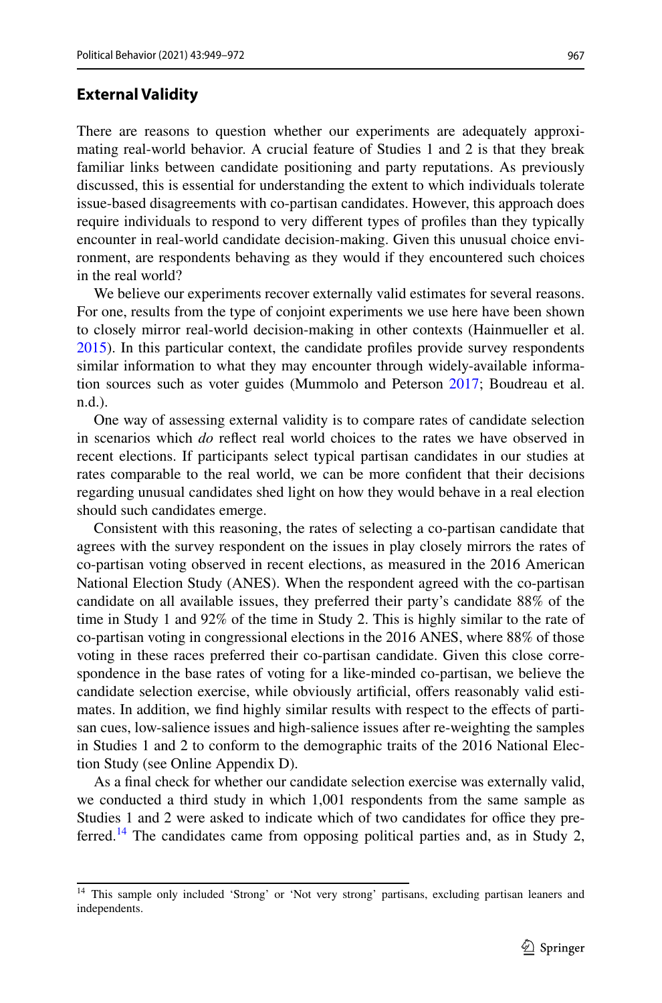There are reasons to question whether our experiments are adequately approximating real-world behavior. A crucial feature of Studies 1 and 2 is that they break familiar links between candidate positioning and party reputations. As previously discussed, this is essential for understanding the extent to which individuals tolerate issue-based disagreements with co-partisan candidates. However, this approach does require individuals to respond to very diferent types of profles than they typically encounter in real-world candidate decision-making. Given this unusual choice environment, are respondents behaving as they would if they encountered such choices in the real world?

We believe our experiments recover externally valid estimates for several reasons. For one, results from the type of conjoint experiments we use here have been shown to closely mirror real-world decision-making in other contexts (Hainmueller et al. [2015](#page-22-24)). In this particular context, the candidate profles provide survey respondents similar information to what they may encounter through widely-available information sources such as voter guides (Mummolo and Peterson [2017](#page-23-24); Boudreau et al. n.d.).

One way of assessing external validity is to compare rates of candidate selection in scenarios which *do* refect real world choices to the rates we have observed in recent elections. If participants select typical partisan candidates in our studies at rates comparable to the real world, we can be more confdent that their decisions regarding unusual candidates shed light on how they would behave in a real election should such candidates emerge.

Consistent with this reasoning, the rates of selecting a co-partisan candidate that agrees with the survey respondent on the issues in play closely mirrors the rates of co-partisan voting observed in recent elections, as measured in the 2016 American National Election Study (ANES). When the respondent agreed with the co-partisan candidate on all available issues, they preferred their party's candidate 88% of the time in Study 1 and 92% of the time in Study 2. This is highly similar to the rate of co-partisan voting in congressional elections in the 2016 ANES, where 88% of those voting in these races preferred their co-partisan candidate. Given this close correspondence in the base rates of voting for a like-minded co-partisan, we believe the candidate selection exercise, while obviously artifcial, ofers reasonably valid estimates. In addition, we fnd highly similar results with respect to the efects of partisan cues, low-salience issues and high-salience issues after re-weighting the samples in Studies 1 and 2 to conform to the demographic traits of the 2016 National Election Study (see Online Appendix D).

As a fnal check for whether our candidate selection exercise was externally valid, we conducted a third study in which 1,001 respondents from the same sample as Studies 1 and 2 were asked to indicate which of two candidates for office they pre-ferred.<sup>[14](#page-18-0)</sup> The candidates came from opposing political parties and, as in Study 2,

<span id="page-18-0"></span><sup>&</sup>lt;sup>14</sup> This sample only included 'Strong' or 'Not very strong' partisans, excluding partisan leaners and independents.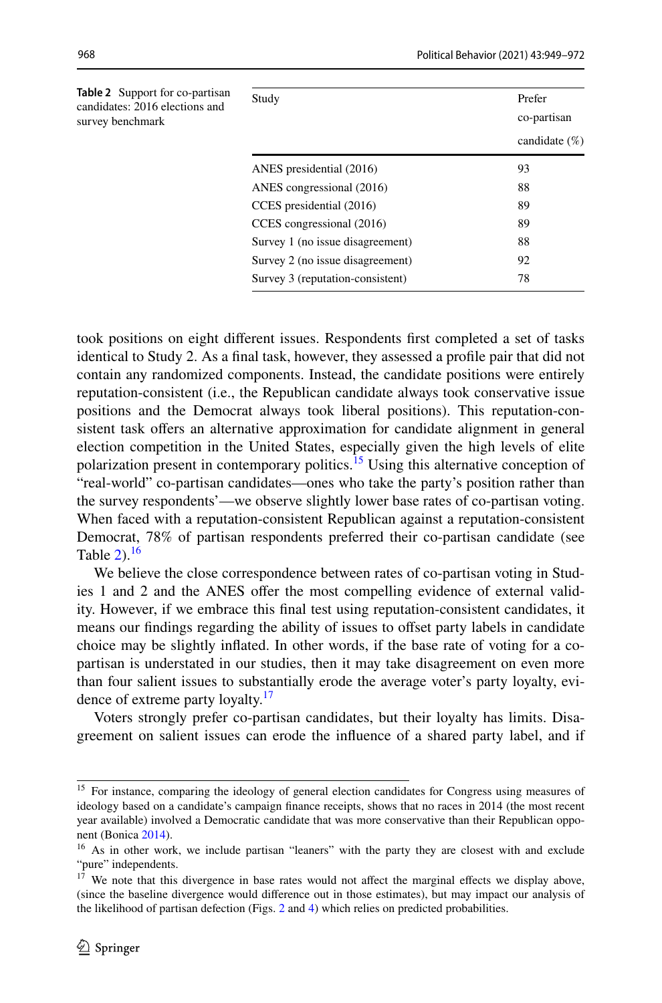<span id="page-19-1"></span>

| <b>Table 2</b> Support for co-partisan<br>candidates: 2016 elections and<br>survey benchmark | Study                            | Prefer<br>co-partisan<br>candidate $(\%)$ |
|----------------------------------------------------------------------------------------------|----------------------------------|-------------------------------------------|
|                                                                                              | ANES presidential (2016)         | 93                                        |
|                                                                                              | ANES congressional (2016)        | 88                                        |
|                                                                                              | CCES presidential (2016)         | 89                                        |
|                                                                                              | CCES congressional (2016)        | 89                                        |
|                                                                                              | Survey 1 (no issue disagreement) | 88                                        |
|                                                                                              | Survey 2 (no issue disagreement) | 92                                        |
|                                                                                              | Survey 3 (reputation-consistent) | 78                                        |
|                                                                                              |                                  |                                           |

took positions on eight diferent issues. Respondents frst completed a set of tasks identical to Study 2. As a fnal task, however, they assessed a profle pair that did not contain any randomized components. Instead, the candidate positions were entirely reputation-consistent (i.e., the Republican candidate always took conservative issue positions and the Democrat always took liberal positions). This reputation-consistent task offers an alternative approximation for candidate alignment in general election competition in the United States, especially given the high levels of elite polarization present in contemporary politics.<sup>15</sup> Using this alternative conception of "real-world" co-partisan candidates—ones who take the party's position rather than the survey respondents'—we observe slightly lower base rates of co-partisan voting. When faced with a reputation-consistent Republican against a reputation-consistent Democrat, 78% of partisan respondents preferred their co-partisan candidate (see Table  $2$ ).<sup>[16](#page-19-2)</sup>

We believe the close correspondence between rates of co-partisan voting in Studies 1 and 2 and the ANES ofer the most compelling evidence of external validity. However, if we embrace this fnal test using reputation-consistent candidates, it means our fndings regarding the ability of issues to ofset party labels in candidate choice may be slightly infated. In other words, if the base rate of voting for a copartisan is understated in our studies, then it may take disagreement on even more than four salient issues to substantially erode the average voter's party loyalty, evi-dence of extreme party loyalty.<sup>[17](#page-19-3)</sup>

Voters strongly prefer co-partisan candidates, but their loyalty has limits. Disagreement on salient issues can erode the infuence of a shared party label, and if

<span id="page-19-0"></span><sup>&</sup>lt;sup>15</sup> For instance, comparing the ideology of general election candidates for Congress using measures of ideology based on a candidate's campaign fnance receipts, shows that no races in 2014 (the most recent year available) involved a Democratic candidate that was more conservative than their Republican opponent (Bonica [2014](#page-21-9)).

<span id="page-19-2"></span><sup>&</sup>lt;sup>16</sup> As in other work, we include partisan "leaners" with the party they are closest with and exclude "pure" independents.

<span id="page-19-3"></span><sup>&</sup>lt;sup>17</sup> We note that this divergence in base rates would not affect the marginal effects we display above, (since the baseline divergence would diference out in those estimates), but may impact our analysis of the likelihood of partisan defection (Figs. [2](#page-11-0) and [4\)](#page-15-0) which relies on predicted probabilities.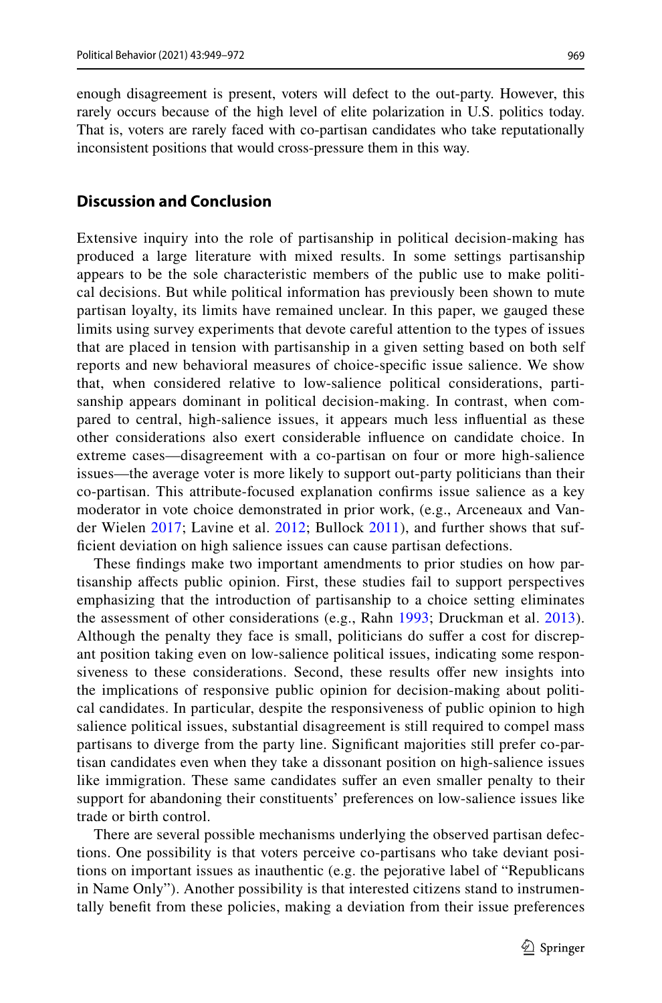enough disagreement is present, voters will defect to the out-party. However, this rarely occurs because of the high level of elite polarization in U.S. politics today. That is, voters are rarely faced with co-partisan candidates who take reputationally inconsistent positions that would cross-pressure them in this way.

#### **Discussion and Conclusion**

Extensive inquiry into the role of partisanship in political decision-making has produced a large literature with mixed results. In some settings partisanship appears to be the sole characteristic members of the public use to make political decisions. But while political information has previously been shown to mute partisan loyalty, its limits have remained unclear. In this paper, we gauged these limits using survey experiments that devote careful attention to the types of issues that are placed in tension with partisanship in a given setting based on both self reports and new behavioral measures of choice-specifc issue salience. We show that, when considered relative to low-salience political considerations, partisanship appears dominant in political decision-making. In contrast, when compared to central, high-salience issues, it appears much less infuential as these other considerations also exert considerable infuence on candidate choice. In extreme cases—disagreement with a co-partisan on four or more high-salience issues—the average voter is more likely to support out-party politicians than their co-partisan. This attribute-focused explanation confrms issue salience as a key moderator in vote choice demonstrated in prior work, (e.g., Arceneaux and Vander Wielen [2017;](#page-21-4) Lavine et al. [2012](#page-23-6); Bullock [2011\)](#page-22-2), and further shows that suffcient deviation on high salience issues can cause partisan defections.

These fndings make two important amendments to prior studies on how partisanship afects public opinion. First, these studies fail to support perspectives emphasizing that the introduction of partisanship to a choice setting eliminates the assessment of other considerations (e.g., Rahn [1993](#page-23-0); Druckman et al. [2013](#page-22-14)). Although the penalty they face is small, politicians do sufer a cost for discrepant position taking even on low-salience political issues, indicating some responsiveness to these considerations. Second, these results ofer new insights into the implications of responsive public opinion for decision-making about political candidates. In particular, despite the responsiveness of public opinion to high salience political issues, substantial disagreement is still required to compel mass partisans to diverge from the party line. Signifcant majorities still prefer co-partisan candidates even when they take a dissonant position on high-salience issues like immigration. These same candidates sufer an even smaller penalty to their support for abandoning their constituents' preferences on low-salience issues like trade or birth control.

There are several possible mechanisms underlying the observed partisan defections. One possibility is that voters perceive co-partisans who take deviant positions on important issues as inauthentic (e.g. the pejorative label of "Republicans in Name Only"). Another possibility is that interested citizens stand to instrumentally beneft from these policies, making a deviation from their issue preferences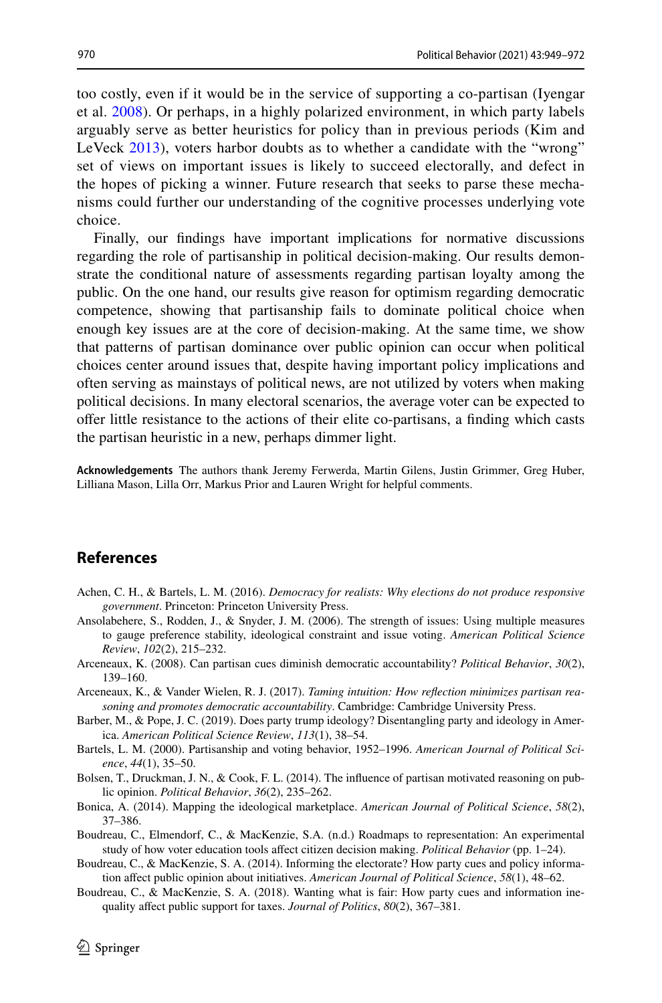too costly, even if it would be in the service of supporting a co-partisan (Iyengar et al. [2008\)](#page-22-20). Or perhaps, in a highly polarized environment, in which party labels arguably serve as better heuristics for policy than in previous periods (Kim and LeVeck [2013](#page-22-15)), voters harbor doubts as to whether a candidate with the "wrong" set of views on important issues is likely to succeed electorally, and defect in the hopes of picking a winner. Future research that seeks to parse these mechanisms could further our understanding of the cognitive processes underlying vote choice.

Finally, our fndings have important implications for normative discussions regarding the role of partisanship in political decision-making. Our results demonstrate the conditional nature of assessments regarding partisan loyalty among the public. On the one hand, our results give reason for optimism regarding democratic competence, showing that partisanship fails to dominate political choice when enough key issues are at the core of decision-making. At the same time, we show that patterns of partisan dominance over public opinion can occur when political choices center around issues that, despite having important policy implications and often serving as mainstays of political news, are not utilized by voters when making political decisions. In many electoral scenarios, the average voter can be expected to ofer little resistance to the actions of their elite co-partisans, a fnding which casts the partisan heuristic in a new, perhaps dimmer light.

**Acknowledgements** The authors thank Jeremy Ferwerda, Martin Gilens, Justin Grimmer, Greg Huber, Lilliana Mason, Lilla Orr, Markus Prior and Lauren Wright for helpful comments.

#### **References**

- <span id="page-21-3"></span>Achen, C. H., & Bartels, L. M. (2016). *Democracy for realists: Why elections do not produce responsive government*. Princeton: Princeton University Press.
- <span id="page-21-8"></span>Ansolabehere, S., Rodden, J., & Snyder, J. M. (2006). The strength of issues: Using multiple measures to gauge preference stability, ideological constraint and issue voting. *American Political Science Review*, *102*(2), 215–232.
- <span id="page-21-2"></span>Arceneaux, K. (2008). Can partisan cues diminish democratic accountability? *Political Behavior*, *30*(2), 139–160.
- <span id="page-21-4"></span>Arceneaux, K., & Vander Wielen, R. J. (2017). *Taming intuition: How refection minimizes partisan reasoning and promotes democratic accountability*. Cambridge: Cambridge University Press.
- <span id="page-21-6"></span>Barber, M., & Pope, J. C. (2019). Does party trump ideology? Disentangling party and ideology in America. *American Political Science Review*, *113*(1), 38–54.
- <span id="page-21-0"></span>Bartels, L. M. (2000). Partisanship and voting behavior, 1952–1996. *American Journal of Political Science*, *44*(1), 35–50.
- <span id="page-21-5"></span>Bolsen, T., Druckman, J. N., & Cook, F. L. (2014). The infuence of partisan motivated reasoning on public opinion. *Political Behavior*, *36*(2), 235–262.
- <span id="page-21-9"></span>Bonica, A. (2014). Mapping the ideological marketplace. *American Journal of Political Science*, *58*(2), 37–386.
- Boudreau, C., Elmendorf, C., & MacKenzie, S.A. (n.d.) Roadmaps to representation: An experimental study of how voter education tools afect citizen decision making. *Political Behavior* (pp. 1–24).
- <span id="page-21-1"></span>Boudreau, C., & MacKenzie, S. A. (2014). Informing the electorate? How party cues and policy information afect public opinion about initiatives. *American Journal of Political Science*, *58*(1), 48–62.
- <span id="page-21-7"></span>Boudreau, C., & MacKenzie, S. A. (2018). Wanting what is fair: How party cues and information inequality afect public support for taxes. *Journal of Politics*, *80*(2), 367–381.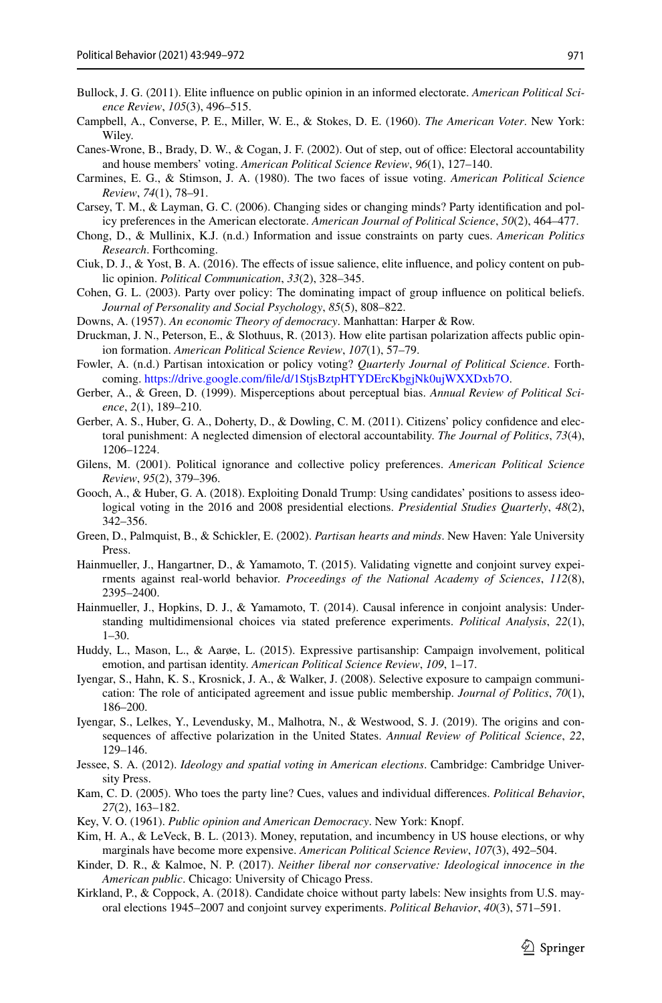- <span id="page-22-2"></span>Bullock, J. G. (2011). Elite infuence on public opinion in an informed electorate. *American Political Science Review*, *105*(3), 496–515.
- <span id="page-22-0"></span>Campbell, A., Converse, P. E., Miller, W. E., & Stokes, D. E. (1960). *The American Voter*. New York: Wiley.
- <span id="page-22-17"></span>Canes-Wrone, B., Brady, D. W., & Cogan, J. F. (2002). Out of step, out of office: Electoral accountability and house members' voting. *American Political Science Review*, *96*(1), 127–140.
- <span id="page-22-19"></span>Carmines, E. G., & Stimson, J. A. (1980). The two faces of issue voting. *American Political Science Review*, *74*(1), 78–91.
- <span id="page-22-23"></span>Carsey, T. M., & Layman, G. C. (2006). Changing sides or changing minds? Party identifcation and policy preferences in the American electorate. *American Journal of Political Science*, *50*(2), 464–477.
- Chong, D., & Mullinix, K.J. (n.d.) Information and issue constraints on party cues. *American Politics Research*. Forthcoming.
- <span id="page-22-5"></span>Ciuk, D. J., & Yost, B. A. (2016). The efects of issue salience, elite infuence, and policy content on public opinion. *Political Communication*, *33*(2), 328–345.
- <span id="page-22-1"></span>Cohen, G. L. (2003). Party over policy: The dominating impact of group infuence on political beliefs. *Journal of Personality and Social Psychology*, *85*(5), 808–822.
- <span id="page-22-9"></span>Downs, A. (1957). *An economic Theory of democracy*. Manhattan: Harper & Row.
- <span id="page-22-14"></span>Druckman, J. N., Peterson, E., & Slothuus, R. (2013). How elite partisan polarization afects public opinion formation. *American Political Science Review*, *107*(1), 57–79.
- Fowler, A. (n.d.) Partisan intoxication or policy voting? *Quarterly Journal of Political Science*. Forthcoming. [https://drive.google.com/fle/d/1StjsBztpHTYDErcKbgjNk0ujWXXDxb7O](https://drive.google.com/file/d/1StjsBztpHTYDErcKbgjNk0ujWXXDxb7O).
- <span id="page-22-10"></span>Gerber, A., & Green, D. (1999). Misperceptions about perceptual bias. *Annual Review of Political Science*, *2*(1), 189–210.
- <span id="page-22-22"></span>Gerber, A. S., Huber, G. A., Doherty, D., & Dowling, C. M. (2011). Citizens' policy confdence and electoral punishment: A neglected dimension of electoral accountability. *The Journal of Politics*, *73*(4), 1206–1224.
- <span id="page-22-21"></span>Gilens, M. (2001). Political ignorance and collective policy preferences. *American Political Science Review*, *95*(2), 379–396.
- <span id="page-22-3"></span>Gooch, A., & Huber, G. A. (2018). Exploiting Donald Trump: Using candidates' positions to assess ideological voting in the 2016 and 2008 presidential elections. *Presidential Studies Quarterly*, *48*(2), 342–356.
- <span id="page-22-16"></span>Green, D., Palmquist, B., & Schickler, E. (2002). *Partisan hearts and minds*. New Haven: Yale University Press.
- <span id="page-22-24"></span>Hainmueller, J., Hangartner, D., & Yamamoto, T. (2015). Validating vignette and conjoint survey expeirments against real-world behavior. *Proceedings of the National Academy of Sciences*, *112*(8), 2395–2400.
- <span id="page-22-6"></span>Hainmueller, J., Hopkins, D. J., & Yamamoto, T. (2014). Causal inference in conjoint analysis: Understanding multidimensional choices via stated preference experiments. *Political Analysis*, *22*(1), 1–30.
- <span id="page-22-8"></span>Huddy, L., Mason, L., & Aarøe, L. (2015). Expressive partisanship: Campaign involvement, political emotion, and partisan identity. *American Political Science Review*, *109*, 1–17.
- <span id="page-22-20"></span>Iyengar, S., Hahn, K. S., Krosnick, J. A., & Walker, J. (2008). Selective exposure to campaign communication: The role of anticipated agreement and issue public membership. *Journal of Politics*, *70*(1), 186–200.
- <span id="page-22-7"></span>Iyengar, S., Lelkes, Y., Levendusky, M., Malhotra, N., & Westwood, S. J. (2019). The origins and consequences of afective polarization in the United States. *Annual Review of Political Science*, *22*, 129–146.
- <span id="page-22-4"></span>Jessee, S. A. (2012). *Ideology and spatial voting in American elections*. Cambridge: Cambridge University Press.
- <span id="page-22-11"></span>Kam, C. D. (2005). Who toes the party line? Cues, values and individual diferences. *Political Behavior*, *27*(2), 163–182.
- <span id="page-22-18"></span>Key, V. O. (1961). *Public opinion and American Democracy*. New York: Knopf.
- <span id="page-22-15"></span>Kim, H. A., & LeVeck, B. L. (2013). Money, reputation, and incumbency in US house elections, or why marginals have become more expensive. *American Political Science Review*, *107*(3), 492–504.
- <span id="page-22-13"></span>Kinder, D. R., & Kalmoe, N. P. (2017). *Neither liberal nor conservative: Ideological innocence in the American public*. Chicago: University of Chicago Press.
- <span id="page-22-12"></span>Kirkland, P., & Coppock, A. (2018). Candidate choice without party labels: New insights from U.S. mayoral elections 1945–2007 and conjoint survey experiments. *Political Behavior*, *40*(3), 571–591.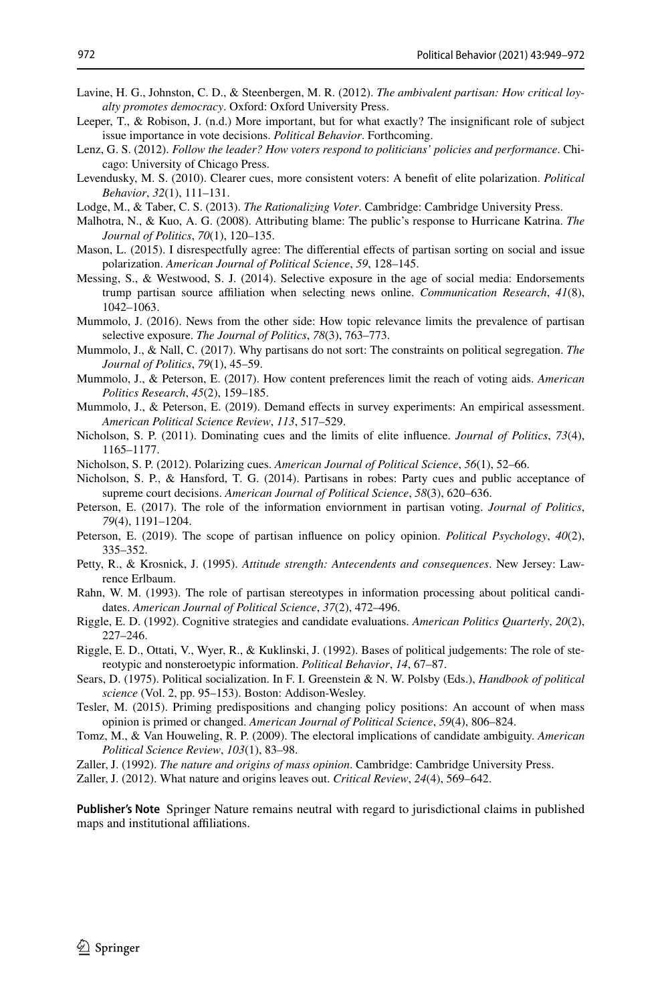- <span id="page-23-6"></span>Lavine, H. G., Johnston, C. D., & Steenbergen, M. R. (2012). *The ambivalent partisan: How critical loyalty promotes democracy*. Oxford: Oxford University Press.
- Leeper, T., & Robison, J. (n.d.) More important, but for what exactly? The insignificant role of subject issue importance in vote decisions. *Political Behavior*. Forthcoming.
- <span id="page-23-5"></span>Lenz, G. S. (2012). *Follow the leader? How voters respond to politicians' policies and performance*. Chicago: University of Chicago Press.
- <span id="page-23-9"></span>Levendusky, M. S. (2010). Clearer cues, more consistent voters: A beneft of elite polarization. *Political Behavior*, *32*(1), 111–131.
- <span id="page-23-7"></span>Lodge, M., & Taber, C. S. (2013). *The Rationalizing Voter*. Cambridge: Cambridge University Press.
- <span id="page-23-2"></span>Malhotra, N., & Kuo, A. G. (2008). Attributing blame: The public's response to Hurricane Katrina. *The Journal of Politics*, *70*(1), 120–135.
- <span id="page-23-4"></span>Mason, L. (2015). I disrespectfully agree: The diferential efects of partisan sorting on social and issue polarization. *American Journal of Political Science*, *59*, 128–145.
- <span id="page-23-16"></span>Messing, S., & Westwood, S. J. (2014). Selective exposure in the age of social media: Endorsements trump partisan source afliation when selecting news online. *Communication Research*, *41*(8), 1042–1063.
- <span id="page-23-14"></span>Mummolo, J. (2016). News from the other side: How topic relevance limits the prevalence of partisan selective exposure. *The Journal of Politics*, *78*(3), 763–773.
- <span id="page-23-15"></span>Mummolo, J., & Nall, C. (2017). Why partisans do not sort: The constraints on political segregation. *The Journal of Politics*, *79*(1), 45–59.
- <span id="page-23-24"></span>Mummolo, J., & Peterson, E. (2017). How content preferences limit the reach of voting aids. *American Politics Research*, *45*(2), 159–185.
- <span id="page-23-23"></span>Mummolo, J., & Peterson, E. (2019). Demand effects in survey experiments: An empirical assessment. *American Political Science Review*, *113*, 517–529.
- <span id="page-23-3"></span>Nicholson, S. P. (2011). Dominating cues and the limits of elite infuence. *Journal of Politics*, *73*(4), 1165–1177.
- <span id="page-23-12"></span>Nicholson, S. P. (2012). Polarizing cues. *American Journal of Political Science*, *56*(1), 52–66.
- <span id="page-23-20"></span>Nicholson, S. P., & Hansford, T. G. (2014). Partisans in robes: Party cues and public acceptance of supreme court decisions. *American Journal of Political Science*, *58*(3), 620–636.
- <span id="page-23-18"></span>Peterson, E. (2017). The role of the information enviornment in partisan voting. *Journal of Politics*, *79*(4), 1191–1204.
- <span id="page-23-17"></span>Peterson, E. (2019). The scope of partisan infuence on policy opinion. *Political Psychology*, *40*(2), 335–352.
- <span id="page-23-22"></span>Petty, R., & Krosnick, J. (1995). *Attitude strength: Antecendents and consequences*. New Jersey: Lawrence Erlbaum.
- <span id="page-23-0"></span>Rahn, W. M. (1993). The role of partisan stereotypes in information processing about political candidates. *American Journal of Political Science*, *37*(2), 472–496.
- <span id="page-23-8"></span>Riggle, E. D. (1992). Cognitive strategies and candidate evaluations. *American Politics Quarterly*, *20*(2), 227–246.
- <span id="page-23-13"></span>Riggle, E. D., Ottati, V., Wyer, R., & Kuklinski, J. (1992). Bases of political judgements: The role of stereotypic and nonsteroetypic information. *Political Behavior*, *14*, 67–87.
- <span id="page-23-19"></span>Sears, D. (1975). Political socialization. In F. I. Greenstein & N. W. Polsby (Eds.), *Handbook of political science* (Vol. 2, pp. 95–153). Boston: Addison-Wesley.
- <span id="page-23-21"></span>Tesler, M. (2015). Priming predispositions and changing policy positions: An account of when mass opinion is primed or changed. *American Journal of Political Science*, *59*(4), 806–824.
- <span id="page-23-11"></span>Tomz, M., & Van Houweling, R. P. (2009). The electoral implications of candidate ambiguity. *American Political Science Review*, *103*(1), 83–98.
- <span id="page-23-1"></span>Zaller, J. (1992). *The nature and origins of mass opinion*. Cambridge: Cambridge University Press.
- <span id="page-23-10"></span>Zaller, J. (2012). What nature and origins leaves out. *Critical Review*, *24*(4), 569–642.

**Publisher's Note** Springer Nature remains neutral with regard to jurisdictional claims in published maps and institutional affiliations.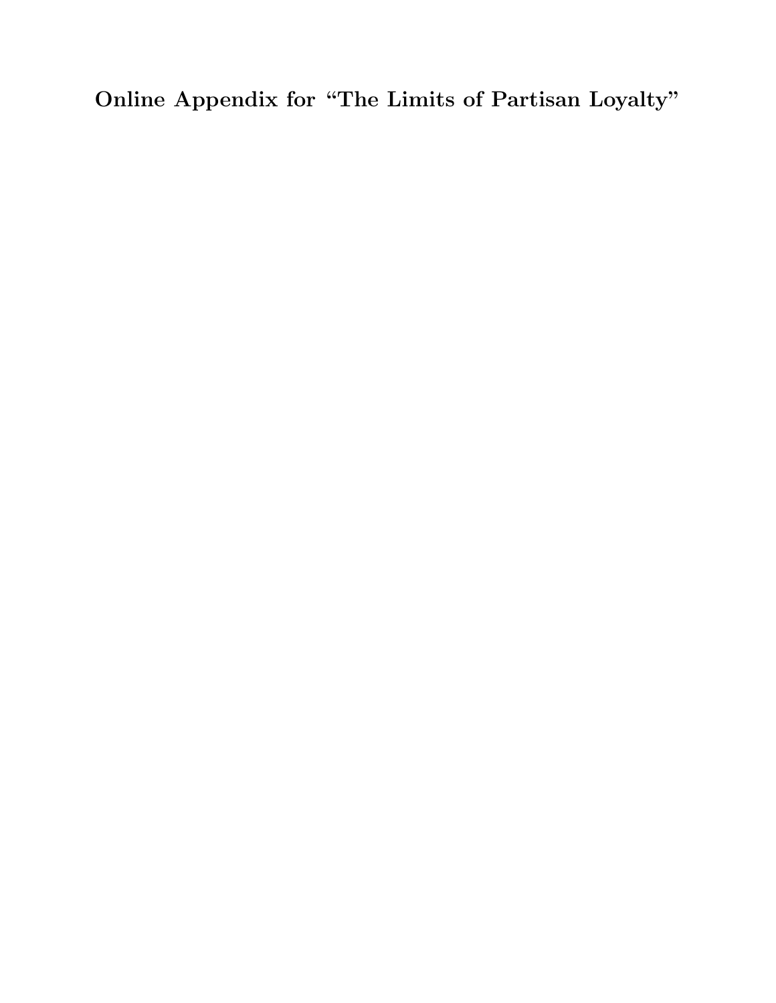Online Appendix for "The Limits of Partisan Loyalty"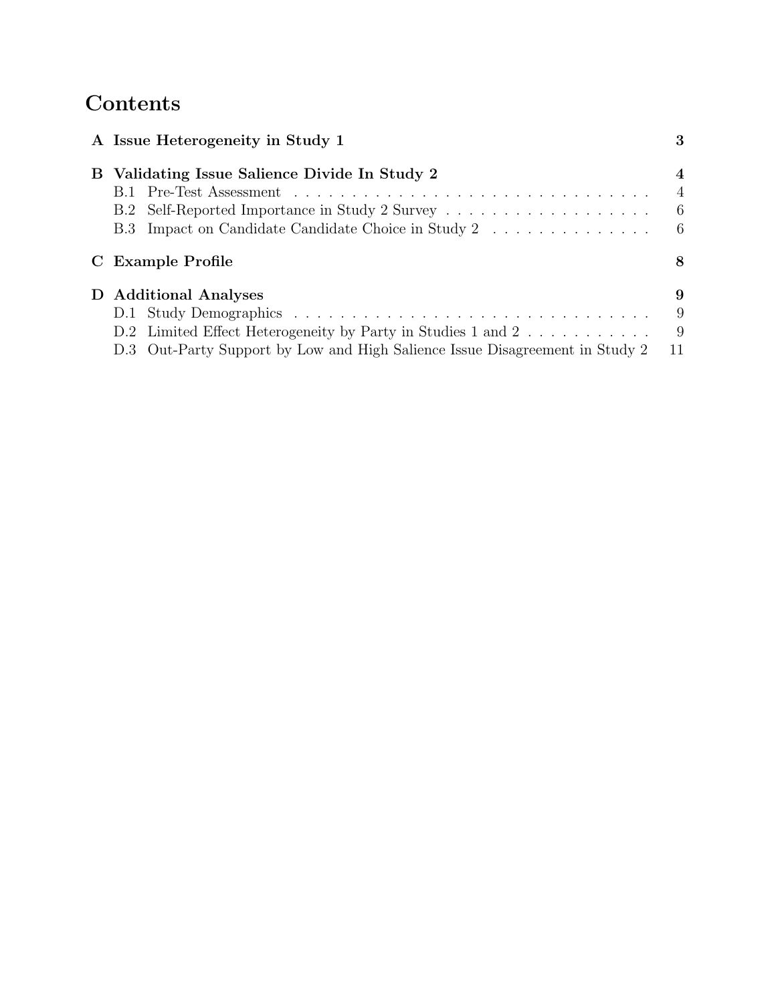## **Contents**

| A Issue Heterogeneity in Study 1                                             | 3                |
|------------------------------------------------------------------------------|------------------|
| B Validating Issue Salience Divide In Study 2                                | $\boldsymbol{A}$ |
|                                                                              | $\overline{4}$   |
| B.2 Self-Reported Importance in Study 2 Survey                               | - 6              |
| B.3 Impact on Candidate Candidate Choice in Study 2                          | - 6              |
| C Example Profile                                                            | 8                |
| D Additional Analyses                                                        | 9                |
|                                                                              | 9                |
| D.2 Limited Effect Heterogeneity by Party in Studies 1 and 2                 | -9               |
| D.3 Out-Party Support by Low and High Salience Issue Disagreement in Study 2 | 11               |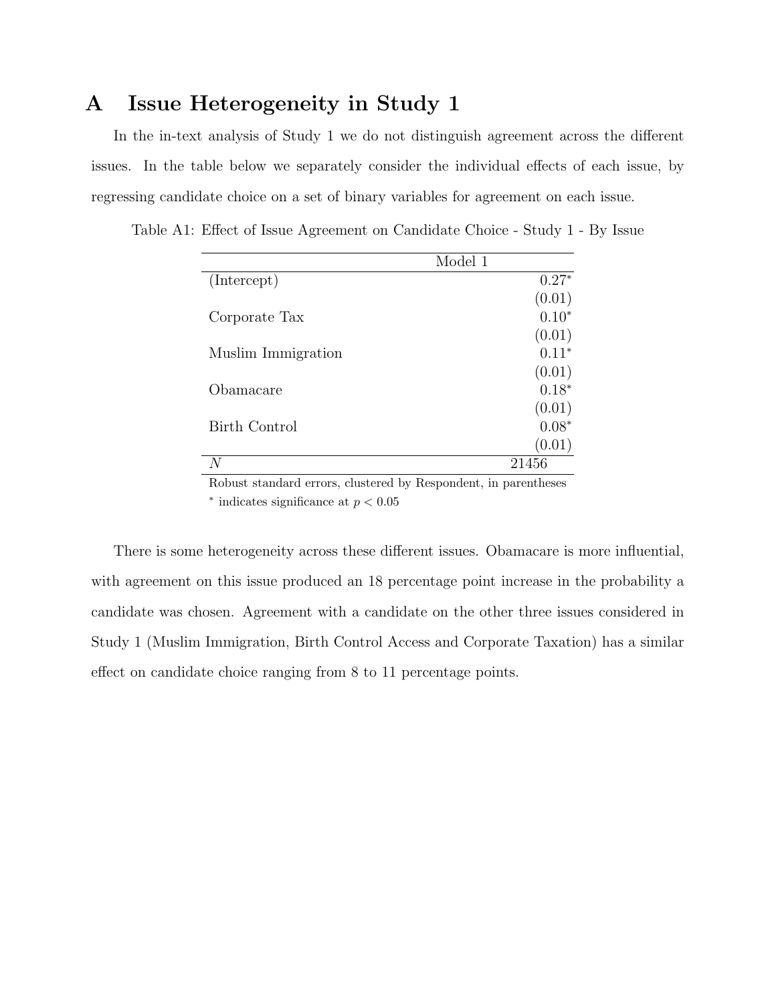## A Issue Heterogeneity in Study 1

In the in-text analysis of Study 1 we do not distinguish agreement across the different issues. In the table below we separately consider the individual effects of each issue, by regressing candidate choice on a set of binary variables for agreement on each issue.

|                      | Model 1 |
|----------------------|---------|
| (Intercept)          | $0.27*$ |
|                      | (0.01)  |
| Corporate Tax        | $0.10*$ |
|                      | (0.01)  |
| Muslim Immigration   | $0.11*$ |
|                      | (0.01)  |
| Obamacare            | $0.18*$ |
|                      | (0.01)  |
| <b>Birth Control</b> | $0.08*$ |
|                      | (0.01)  |
| N                    | 21456   |

Table A1: Effect of Issue Agreement on Candidate Choice - Study 1 - By Issue

Robust standard errors, clustered by Respondent, in parentheses  $*$  indicates significance at  $p < 0.05$ 

There is some heterogeneity across these different issues. Obamacare is more influential, with agreement on this issue produced an 18 percentage point increase in the probability a candidate was chosen. Agreement with a candidate on the other three issues considered in Study 1 (Muslim Immigration, Birth Control Access and Corporate Taxation) has a similar effect on candidate choice ranging from 8 to 11 percentage points.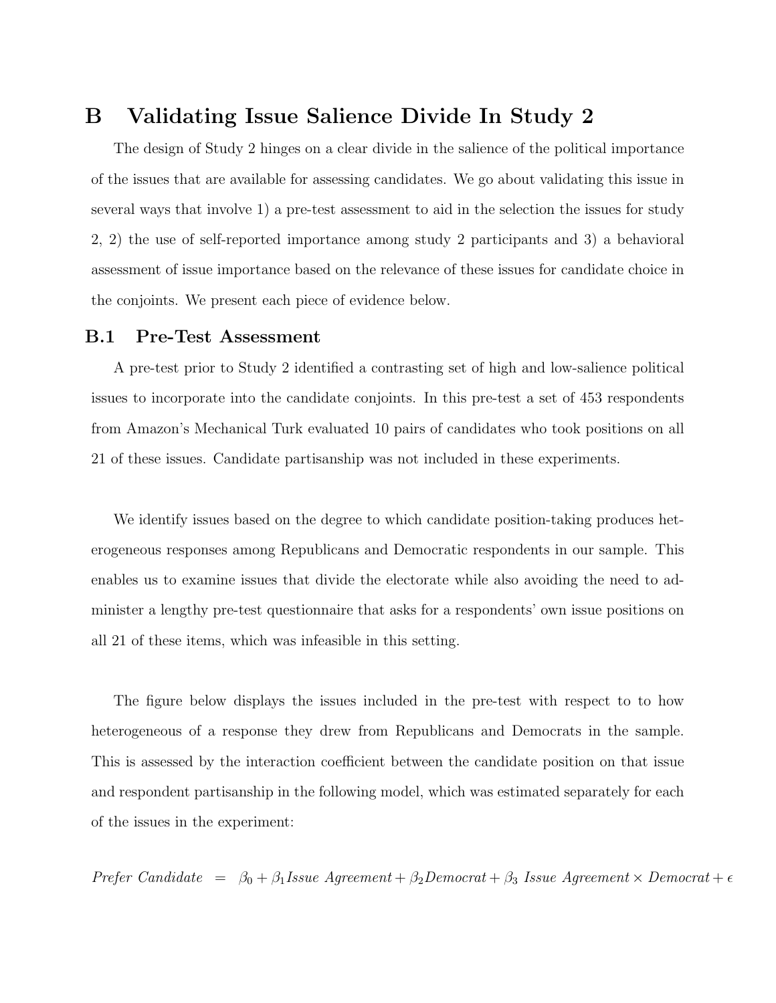## B Validating Issue Salience Divide In Study 2

The design of Study 2 hinges on a clear divide in the salience of the political importance of the issues that are available for assessing candidates. We go about validating this issue in several ways that involve 1) a pre-test assessment to aid in the selection the issues for study 2, 2) the use of self-reported importance among study 2 participants and 3) a behavioral assessment of issue importance based on the relevance of these issues for candidate choice in the conjoints. We present each piece of evidence below.

### B.1 Pre-Test Assessment

A pre-test prior to Study 2 identified a contrasting set of high and low-salience political issues to incorporate into the candidate conjoints. In this pre-test a set of 453 respondents from Amazon's Mechanical Turk evaluated 10 pairs of candidates who took positions on all 21 of these issues. Candidate partisanship was not included in these experiments.

We identify issues based on the degree to which candidate position-taking produces heterogeneous responses among Republicans and Democratic respondents in our sample. This enables us to examine issues that divide the electorate while also avoiding the need to administer a lengthy pre-test questionnaire that asks for a respondents' own issue positions on all 21 of these items, which was infeasible in this setting.

The figure below displays the issues included in the pre-test with respect to to how heterogeneous of a response they drew from Republicans and Democrats in the sample. This is assessed by the interaction coefficient between the candidate position on that issue and respondent partisanship in the following model, which was estimated separately for each of the issues in the experiment:

Prefer Candidate =  $\beta_0 + \beta_1$ Issue Agreement +  $\beta_2$ Democrat +  $\beta_3$  Issue Agreement × Democrat +  $\epsilon$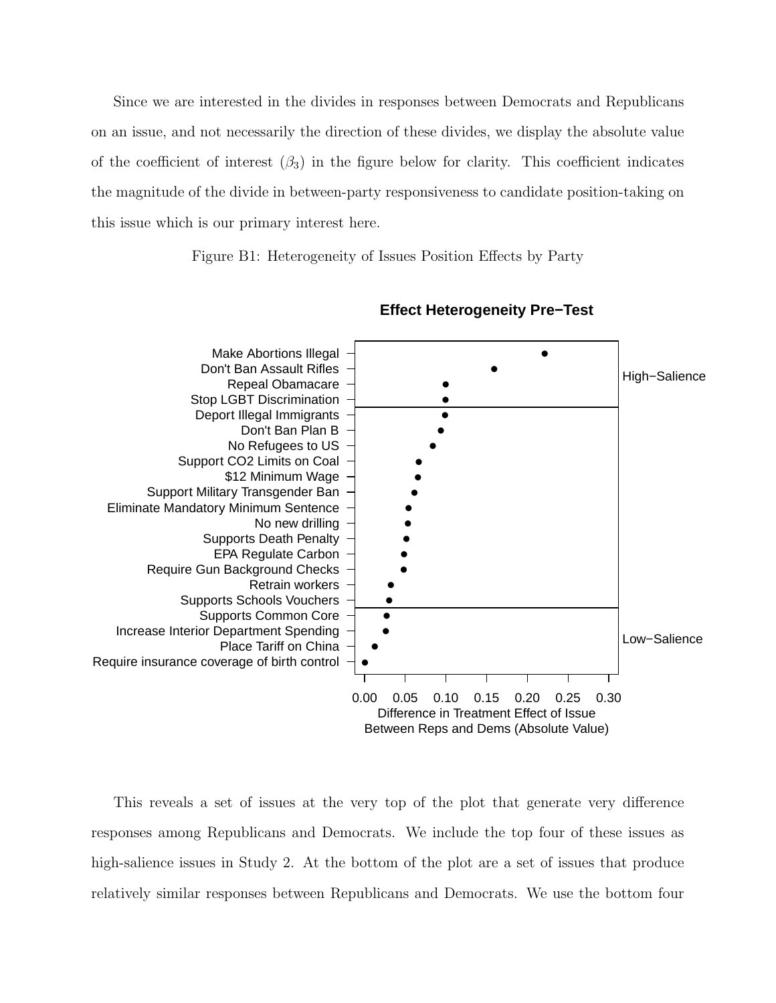Since we are interested in the divides in responses between Democrats and Republicans on an issue, and not necessarily the direction of these divides, we display the absolute value of the coefficient of interest  $(\beta_3)$  in the figure below for clarity. This coefficient indicates the magnitude of the divide in between-party responsiveness to candidate position-taking on this issue which is our primary interest here.

Figure B1: Heterogeneity of Issues Position Effects by Party



**Effect Heterogeneity Pre−Test**

This reveals a set of issues at the very top of the plot that generate very difference responses among Republicans and Democrats. We include the top four of these issues as high-salience issues in Study 2. At the bottom of the plot are a set of issues that produce relatively similar responses between Republicans and Democrats. We use the bottom four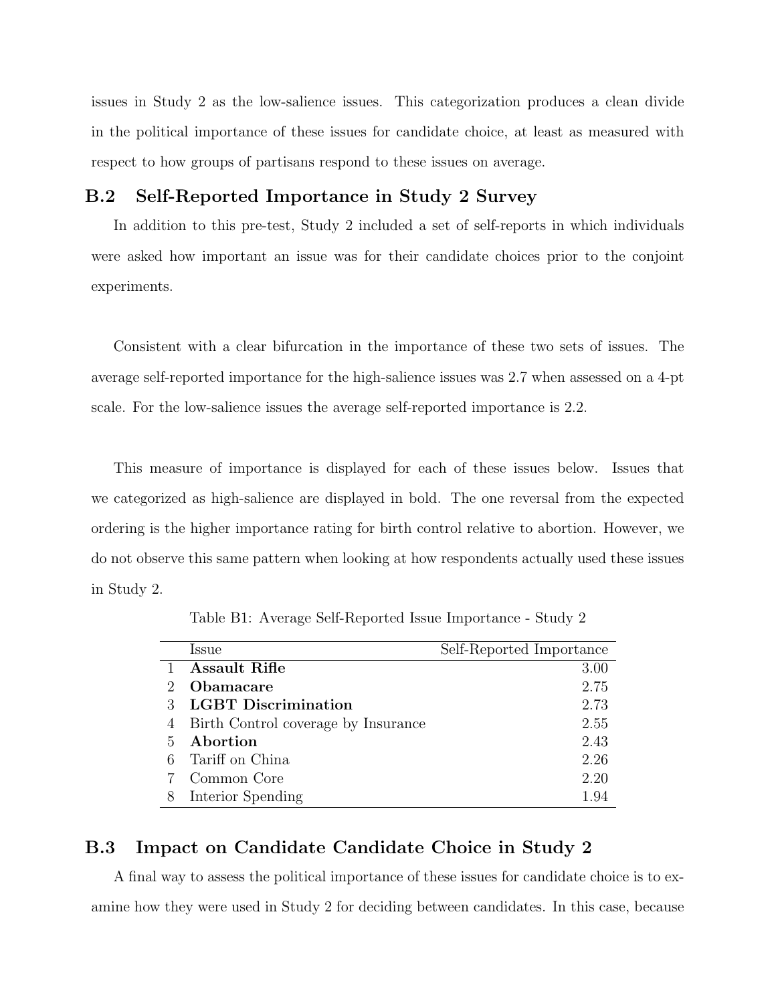issues in Study 2 as the low-salience issues. This categorization produces a clean divide in the political importance of these issues for candidate choice, at least as measured with respect to how groups of partisans respond to these issues on average.

### B.2 Self-Reported Importance in Study 2 Survey

In addition to this pre-test, Study 2 included a set of self-reports in which individuals were asked how important an issue was for their candidate choices prior to the conjoint experiments.

Consistent with a clear bifurcation in the importance of these two sets of issues. The average self-reported importance for the high-salience issues was 2.7 when assessed on a 4-pt scale. For the low-salience issues the average self-reported importance is 2.2.

This measure of importance is displayed for each of these issues below. Issues that we categorized as high-salience are displayed in bold. The one reversal from the expected ordering is the higher importance rating for birth control relative to abortion. However, we do not observe this same pattern when looking at how respondents actually used these issues in Study 2.

Table B1: Average Self-Reported Issue Importance - Study 2

|               | <i>ssue</i>                         | Self-Reported Importance |
|---------------|-------------------------------------|--------------------------|
|               | <b>Assault Rifle</b>                | 3.00                     |
| $\mathcal{D}$ | Obamacare                           | 2.75                     |
|               | <b>LGBT</b> Discrimination          | 2.73                     |
|               | Birth Control coverage by Insurance | 2.55                     |
| 5.            | Abortion                            | 2.43                     |
|               | Tariff on China                     | 2.26                     |
|               | Common Core                         | 2.20                     |
|               | Interior Spending                   | 194                      |

### B.3 Impact on Candidate Candidate Choice in Study 2

A final way to assess the political importance of these issues for candidate choice is to examine how they were used in Study 2 for deciding between candidates. In this case, because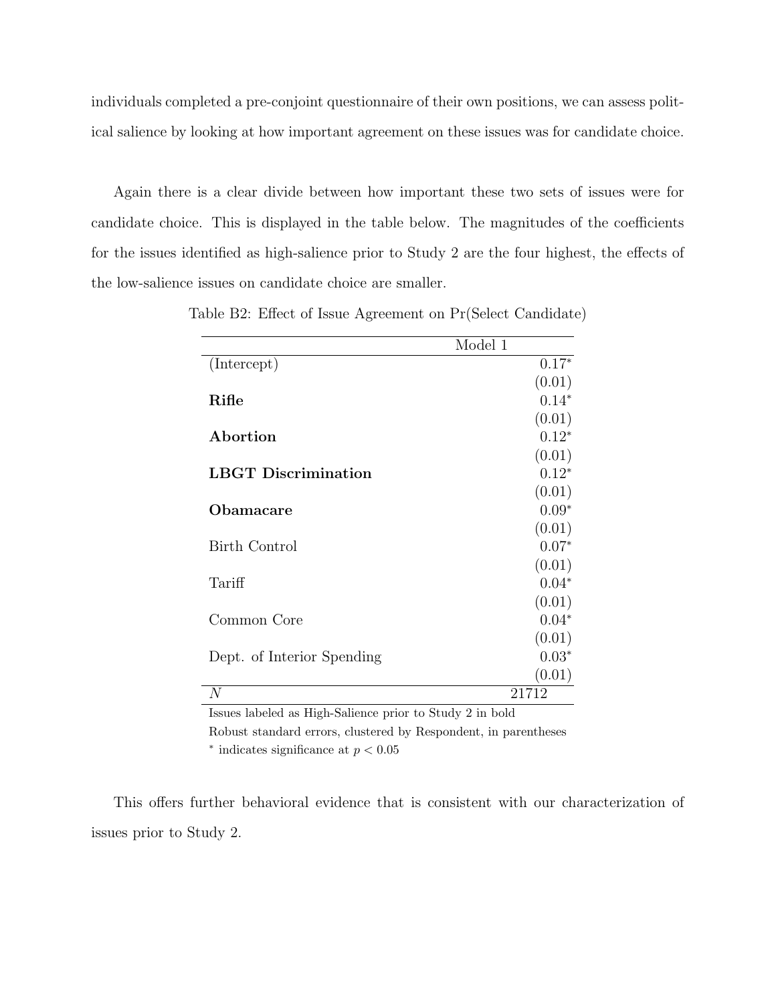individuals completed a pre-conjoint questionnaire of their own positions, we can assess political salience by looking at how important agreement on these issues was for candidate choice.

Again there is a clear divide between how important these two sets of issues were for candidate choice. This is displayed in the table below. The magnitudes of the coefficients for the issues identified as high-salience prior to Study 2 are the four highest, the effects of the low-salience issues on candidate choice are smaller.

|                            | Model 1 |
|----------------------------|---------|
| (Intercept)                | $0.17*$ |
|                            | (0.01)  |
| Rifle                      | $0.14*$ |
|                            | (0.01)  |
| Abortion                   | $0.12*$ |
|                            | (0.01)  |
| <b>LBGT</b> Discrimination | $0.12*$ |
|                            | (0.01)  |
| Obamacare                  | $0.09*$ |
|                            | (0.01)  |
| <b>Birth Control</b>       | $0.07*$ |
|                            | (0.01)  |
| Tariff                     | $0.04*$ |
|                            | (0.01)  |
| Common Core                | $0.04*$ |
|                            | (0.01)  |
| Dept. of Interior Spending | $0.03*$ |
|                            | (0.01)  |
| N                          | 21712   |

Table B2: Effect of Issue Agreement on Pr(Select Candidate)

Issues labeled as High-Salience prior to Study 2 in bold

Robust standard errors, clustered by Respondent, in parentheses

 $*$  indicates significance at  $p < 0.05$ 

This offers further behavioral evidence that is consistent with our characterization of issues prior to Study 2.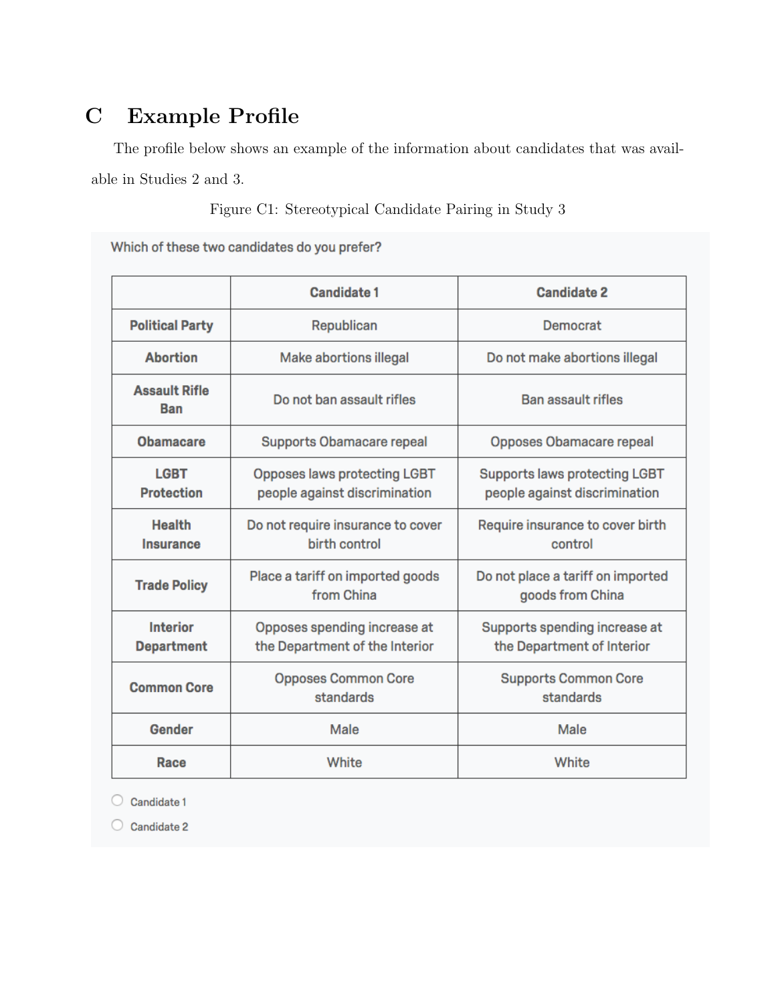## C Example Profile

The profile below shows an example of the information about candidates that was available in Studies 2 and 3.

Figure C1: Stereotypical Candidate Pairing in Study 3

Which of these two candidates do you prefer?

|                                                                                         | <b>Candidate 1</b>                                                                                                                            | <b>Candidate 2</b>                                          |  |
|-----------------------------------------------------------------------------------------|-----------------------------------------------------------------------------------------------------------------------------------------------|-------------------------------------------------------------|--|
| <b>Political Party</b>                                                                  | Republican                                                                                                                                    | Democrat                                                    |  |
| <b>Abortion</b>                                                                         | <b>Make abortions illegal</b>                                                                                                                 | Do not make abortions illegal                               |  |
| <b>Assault Rifle</b><br><b>Ban</b>                                                      | Do not ban assault rifles                                                                                                                     | <b>Ban assault rifles</b>                                   |  |
| <b>Obamacare</b>                                                                        | <b>Supports Obamacare repeal</b>                                                                                                              | Opposes Obamacare repeal                                    |  |
| <b>LGBT</b><br><b>Protection</b>                                                        | <b>Opposes laws protecting LGBT</b><br><b>Supports laws protecting LGBT</b><br>people against discrimination<br>people against discrimination |                                                             |  |
| <b>Health</b><br>Do not require insurance to cover<br>birth control<br><b>Insurance</b> |                                                                                                                                               | Require insurance to cover birth<br>control                 |  |
| <b>Trade Policy</b>                                                                     | Place a tariff on imported goods<br>from China                                                                                                | Do not place a tariff on imported<br>goods from China       |  |
| <b>Interior</b><br><b>Department</b>                                                    | Opposes spending increase at<br>the Department of the Interior                                                                                | Supports spending increase at<br>the Department of Interior |  |
| <b>Common Core</b>                                                                      | <b>Opposes Common Core</b><br>standards                                                                                                       | <b>Supports Common Core</b><br>standards                    |  |
| Gender                                                                                  | Male                                                                                                                                          | Male                                                        |  |
| Race                                                                                    | White                                                                                                                                         | White                                                       |  |

 $\bigcirc$  Candidate 1

 $\bigcirc$  Candidate 2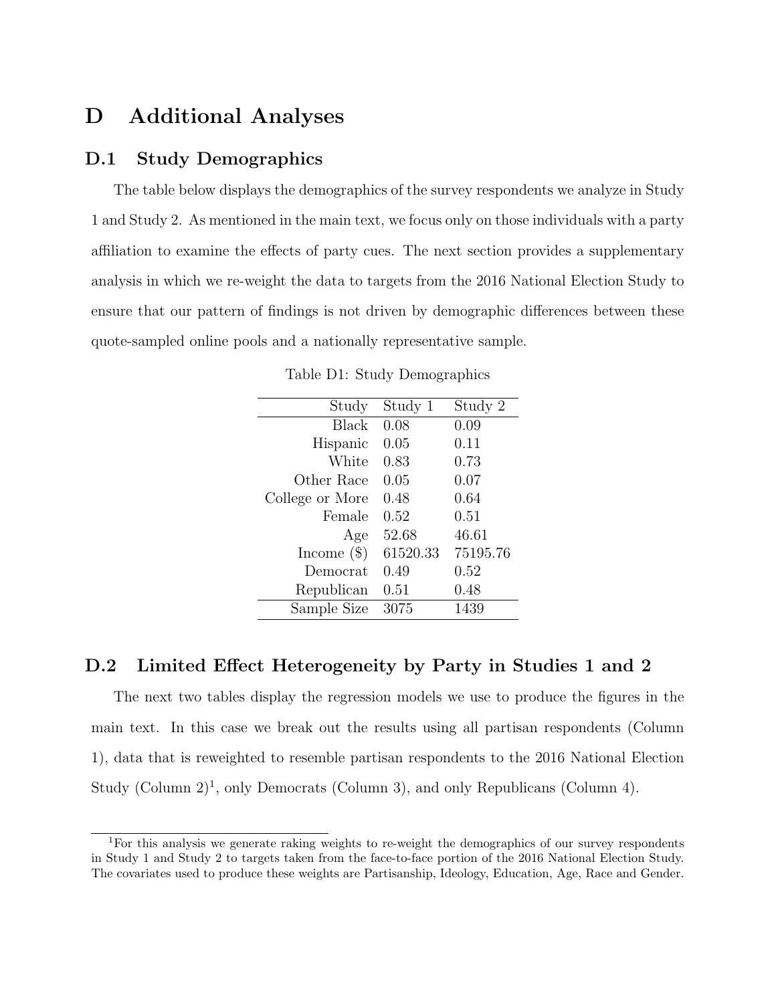## D Additional Analyses

### D.1 Study Demographics

The table below displays the demographics of the survey respondents we analyze in Study 1 and Study 2. As mentioned in the main text, we focus only on those individuals with a party affiliation to examine the effects of party cues. The next section provides a supplementary analysis in which we re-weight the data to targets from the 2016 National Election Study to ensure that our pattern of findings is not driven by demographic differences between these quote-sampled online pools and a nationally representative sample.

| Study           | Study 1  | Study 2  |
|-----------------|----------|----------|
| Black           | 0.08     | 0.09     |
| Hispanic        | 0.05     | 0.11     |
| White           | 0.83     | 0.73     |
| Other Race      | 0.05     | 0.07     |
| College or More | 0.48     | 0.64     |
| Female          | 0.52     | 0.51     |
| Age             | 52.68    | 46.61    |
| Income $(\$)$   | 61520.33 | 75195.76 |
| Democrat        | 0.49     | 0.52     |
| Republican      | 0.51     | 0.48     |
| Sample Size     | 3075     | 1439     |

Table D1: Study Demographics

### D.2 Limited Effect Heterogeneity by Party in Studies 1 and 2

The next two tables display the regression models we use to produce the figures in the main text. In this case we break out the results using all partisan respondents (Column 1), data that is reweighted to resemble partisan respondents to the 2016 National Election Study (Column  $2)^1$ , only Democrats (Column 3), and only Republicans (Column 4).

<sup>1</sup>For this analysis we generate raking weights to re-weight the demographics of our survey respondents in Study 1 and Study 2 to targets taken from the face-to-face portion of the 2016 National Election Study. The covariates used to produce these weights are Partisanship, Ideology, Education, Age, Race and Gender.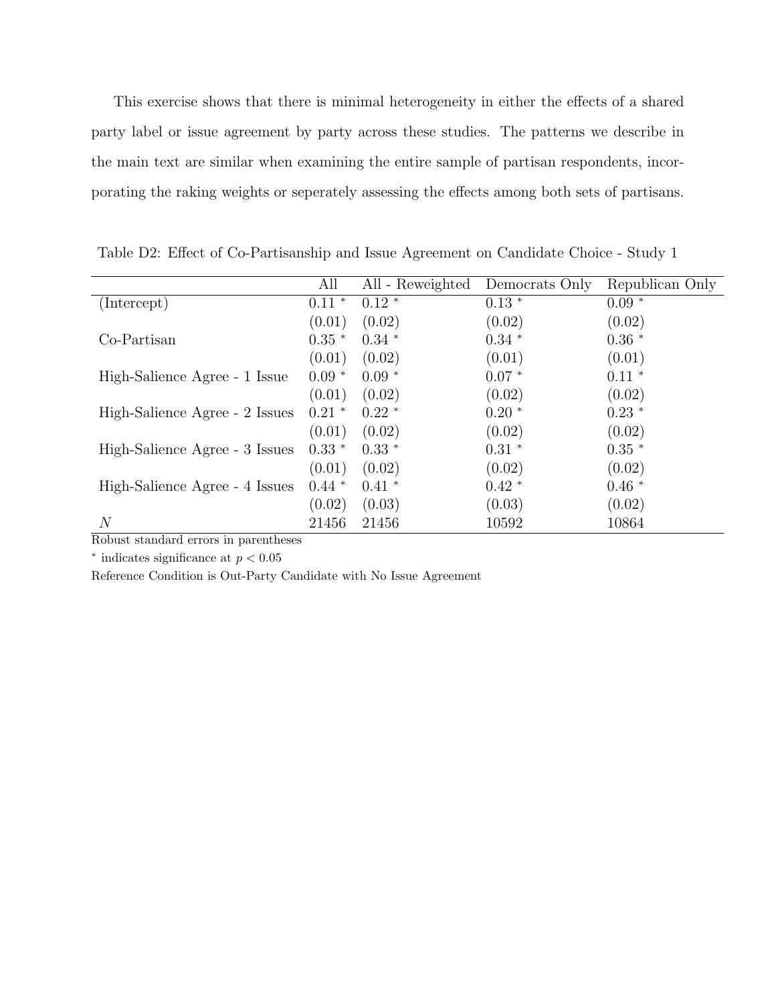This exercise shows that there is minimal heterogeneity in either the effects of a shared party label or issue agreement by party across these studies. The patterns we describe in the main text are similar when examining the entire sample of partisan respondents, incorporating the raking weights or seperately assessing the effects among both sets of partisans.

|                                | All      | All - Reweighted | Democrats Only | Republican Only |
|--------------------------------|----------|------------------|----------------|-----------------|
| (Intercept)                    | $0.11$ * | $0.12*$          | $0.13*$        | $0.09*$         |
|                                | (0.01)   | (0.02)           | (0.02)         | (0.02)          |
| Co-Partisan                    | $0.35$ * | $0.34*$          | $0.34*$        | $0.36*$         |
|                                | (0.01)   | (0.02)           | (0.01)         | (0.01)          |
| High-Salience Agree - 1 Issue  | $0.09*$  | $0.09*$          | $0.07*$        | $0.11*$         |
|                                | (0.01)   | (0.02)           | (0.02)         | (0.02)          |
| High-Salience Agree - 2 Issues | $0.21$ * | $0.22*$          | $0.20*$        | $0.23*$         |
|                                | (0.01)   | (0.02)           | (0.02)         | (0.02)          |
| High-Salience Agree - 3 Issues | $0.33*$  | $0.33*$          | $0.31$ *       | $0.35*$         |
|                                | (0.01)   | (0.02)           | (0.02)         | (0.02)          |
| High-Salience Agree - 4 Issues | $0.44*$  | $0.41*$          | $0.42*$        | $0.46*$         |
|                                | (0.02)   | (0.03)           | (0.03)         | (0.02)          |
| $\,N$                          | 21456    | 21456            | 10592          | 10864           |

Table D2: Effect of Co-Partisanship and Issue Agreement on Candidate Choice - Study 1

Robust standard errors in parentheses

 $*$  indicates significance at  $p < 0.05$ 

Reference Condition is Out-Party Candidate with No Issue Agreement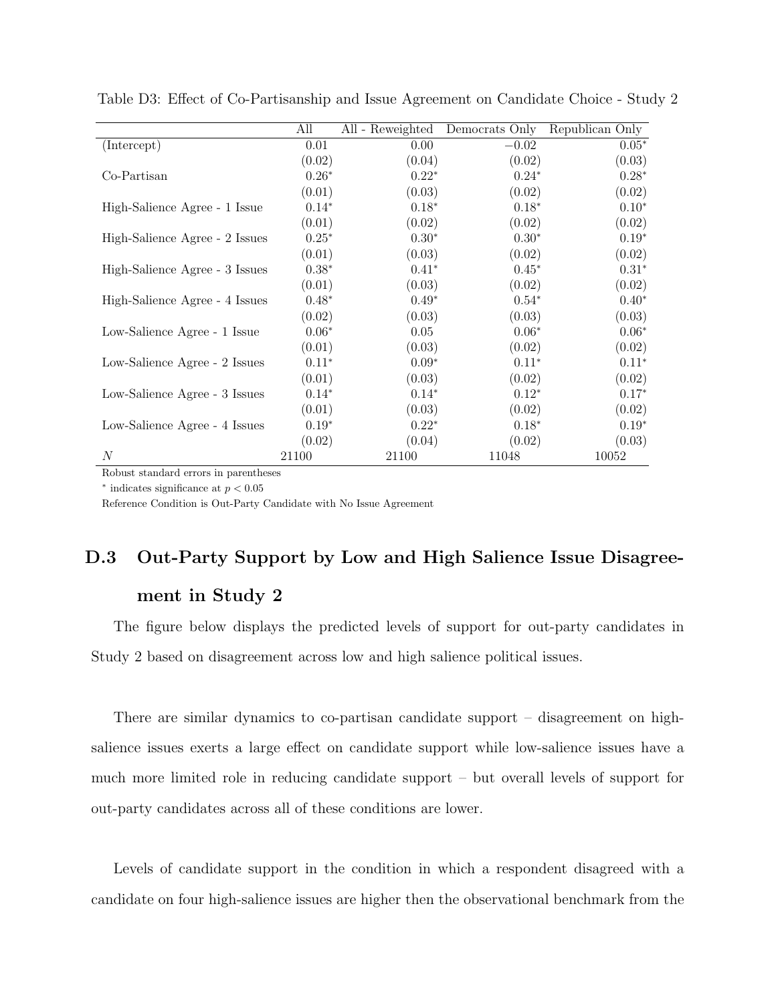|                                | All     | All - Reweighted | Democrats Only | Republican Only |
|--------------------------------|---------|------------------|----------------|-----------------|
| (Intercept)                    | 0.01    | 0.00             | $-0.02$        | $0.05*$         |
|                                | (0.02)  | (0.04)           | (0.02)         | (0.03)          |
| Co-Partisan                    | $0.26*$ | $0.22*$          | $0.24*$        | $0.28*$         |
|                                | (0.01)  | (0.03)           | (0.02)         | (0.02)          |
| High-Salience Agree - 1 Issue  | $0.14*$ | $0.18*$          | $0.18*$        | $0.10*$         |
|                                | (0.01)  | (0.02)           | (0.02)         | (0.02)          |
| High-Salience Agree - 2 Issues | $0.25*$ | $0.30*$          | $0.30*$        | $0.19*$         |
|                                | (0.01)  | (0.03)           | (0.02)         | (0.02)          |
| High-Salience Agree - 3 Issues | $0.38*$ | $0.41*$          | $0.45*$        | $0.31*$         |
|                                | (0.01)  | (0.03)           | (0.02)         | (0.02)          |
| High-Salience Agree - 4 Issues | $0.48*$ | $0.49*$          | $0.54*$        | $0.40*$         |
|                                | (0.02)  | (0.03)           | (0.03)         | (0.03)          |
| Low-Salience Agree - 1 Issue   | $0.06*$ | 0.05             | $0.06*$        | $0.06*$         |
|                                | (0.01)  | (0.03)           | (0.02)         | (0.02)          |
| Low-Salience Agree - 2 Issues  | $0.11*$ | $0.09*$          | $0.11*$        | $0.11*$         |
|                                | (0.01)  | (0.03)           | (0.02)         | (0.02)          |
| Low-Salience Agree - 3 Issues  | $0.14*$ | $0.14*$          | $0.12*$        | $0.17*$         |
|                                | (0.01)  | (0.03)           | (0.02)         | (0.02)          |
| Low-Salience Agree - 4 Issues  | $0.19*$ | $0.22*$          | $0.18*$        | $0.19*$         |
|                                | (0.02)  | (0.04)           | (0.02)         | (0.03)          |
| $\boldsymbol{N}$               | 21100   | 21100            | 11048          | 10052           |

Table D3: Effect of Co-Partisanship and Issue Agreement on Candidate Choice - Study 2

Robust standard errors in parentheses

 $*$  indicates significance at  $p < 0.05$ 

Reference Condition is Out-Party Candidate with No Issue Agreement

# D.3 Out-Party Support by Low and High Salience Issue Disagreement in Study 2

The figure below displays the predicted levels of support for out-party candidates in Study 2 based on disagreement across low and high salience political issues.

There are similar dynamics to co-partisan candidate support – disagreement on highsalience issues exerts a large effect on candidate support while low-salience issues have a much more limited role in reducing candidate support – but overall levels of support for out-party candidates across all of these conditions are lower.

Levels of candidate support in the condition in which a respondent disagreed with a candidate on four high-salience issues are higher then the observational benchmark from the